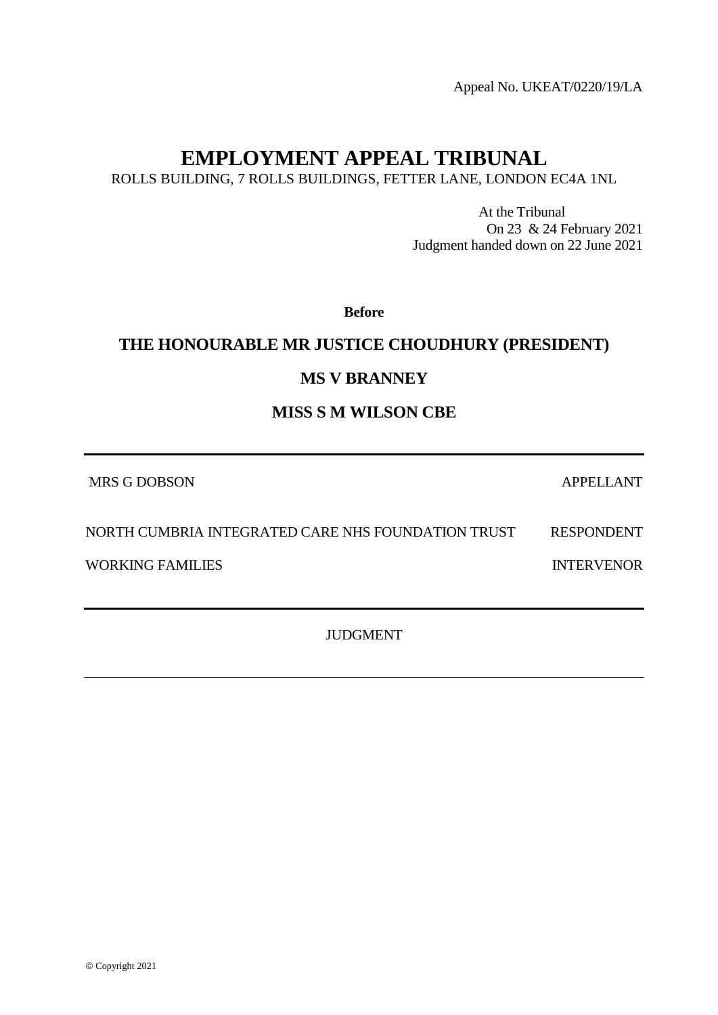Appeal No. UKEAT/0220/19/LA

# **EMPLOYMENT APPEAL TRIBUNAL**

ROLLS BUILDING, 7 ROLLS BUILDINGS, FETTER LANE, LONDON EC4A 1NL

At the Tribunal On 23 & 24 February 2021 Judgment handed down on 22 June 2021

**Before**

# **THE HONOURABLE MR JUSTICE CHOUDHURY (PRESIDENT)**

# **MS V BRANNEY**

# **MISS S M WILSON CBE**

MRS G DOBSON APPELLANT

NORTH CUMBRIA INTEGRATED CARE NHS FOUNDATION TRUST RESPONDENT

WORKING FAMILIES **INTERVENOR** 

JUDGMENT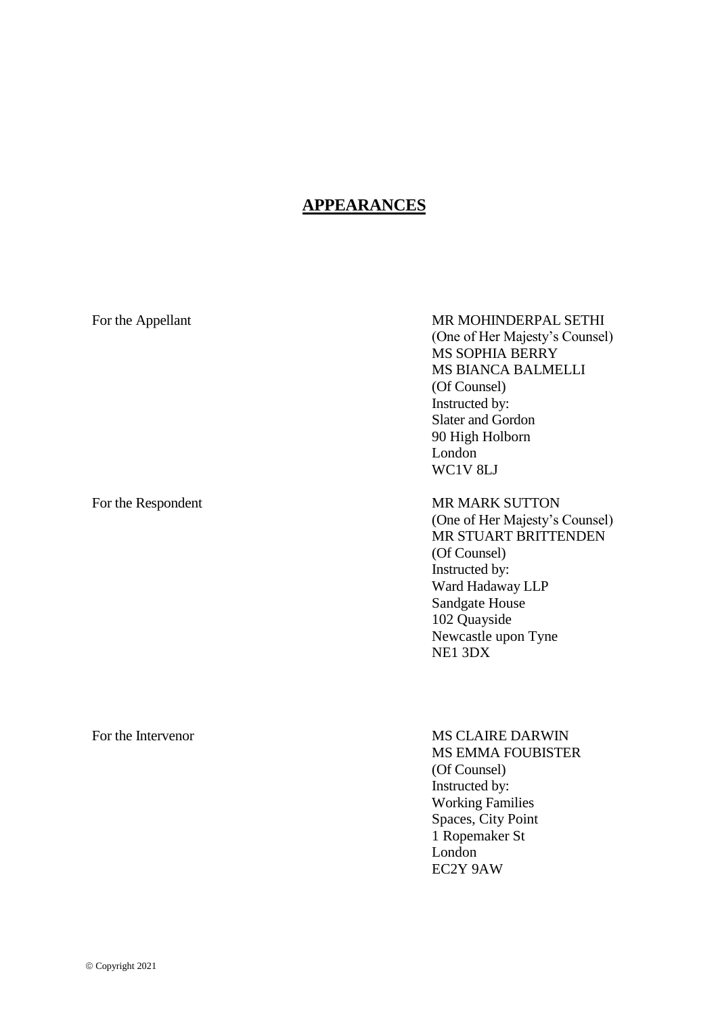# **APPEARANCES**

| For the Appellant   | MR MOHINDERPAL SETHI<br>(One of Her Majesty's Counsel)<br><b>MS SOPHIA BERRY</b><br>MS BIANCA BALMELLI<br>(Of Counsel)<br>Instructed by:<br>Slater and Gordon<br>90 High Holborn<br>London<br>WC1V 8LJ    |
|---------------------|-----------------------------------------------------------------------------------------------------------------------------------------------------------------------------------------------------------|
| For the Respondent  | <b>MR MARK SUTTON</b><br>(One of Her Majesty's Counsel)<br>MR STUART BRITTENDEN<br>(Of Counsel)<br>Instructed by:<br>Ward Hadaway LLP<br>Sandgate House<br>102 Quayside<br>Newcastle upon Tyne<br>NE1 3DX |
| Dan this Literature | MC CLAIDE DADWINI                                                                                                                                                                                         |

# For the Intervenor

# MS CLAIRE DARWIN MS EMMA FOUBISTER

(Of Counsel) Instructed by: Working Families Spaces, City Point 1 Ropemaker St London EC2Y 9AW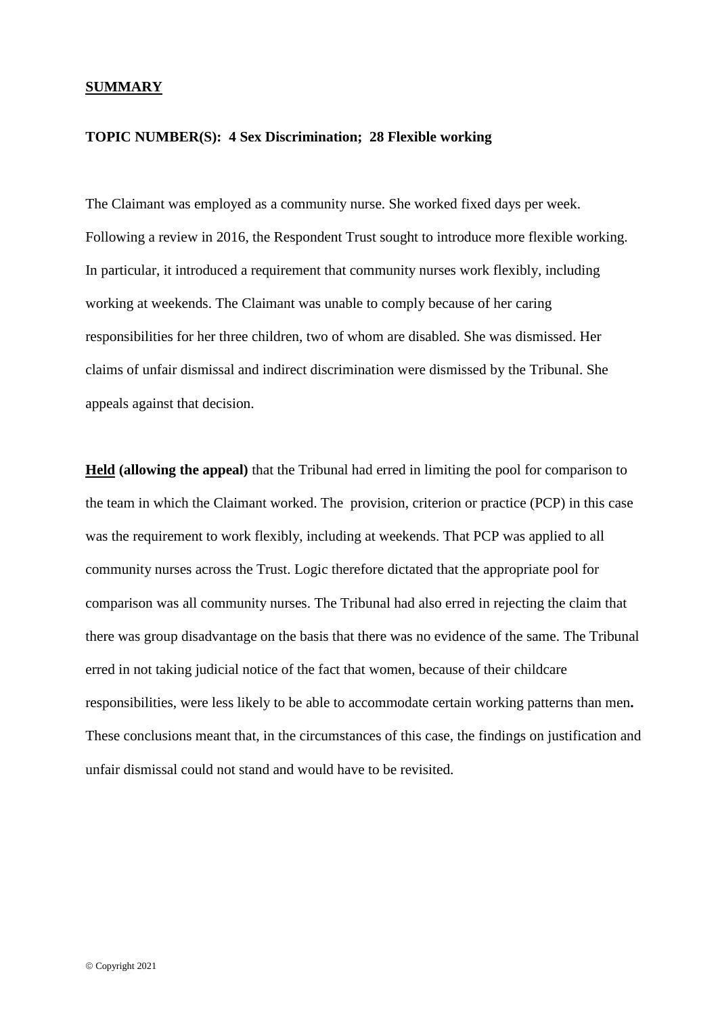# **SUMMARY**

### **TOPIC NUMBER(S): 4 Sex Discrimination; 28 Flexible working**

The Claimant was employed as a community nurse. She worked fixed days per week. Following a review in 2016, the Respondent Trust sought to introduce more flexible working. In particular, it introduced a requirement that community nurses work flexibly, including working at weekends. The Claimant was unable to comply because of her caring responsibilities for her three children, two of whom are disabled. She was dismissed. Her claims of unfair dismissal and indirect discrimination were dismissed by the Tribunal. She appeals against that decision.

**Held (allowing the appeal)** that the Tribunal had erred in limiting the pool for comparison to the team in which the Claimant worked. The provision, criterion or practice (PCP) in this case was the requirement to work flexibly, including at weekends. That PCP was applied to all community nurses across the Trust. Logic therefore dictated that the appropriate pool for comparison was all community nurses. The Tribunal had also erred in rejecting the claim that there was group disadvantage on the basis that there was no evidence of the same. The Tribunal erred in not taking judicial notice of the fact that women, because of their childcare responsibilities, were less likely to be able to accommodate certain working patterns than men**.** These conclusions meant that, in the circumstances of this case, the findings on justification and unfair dismissal could not stand and would have to be revisited.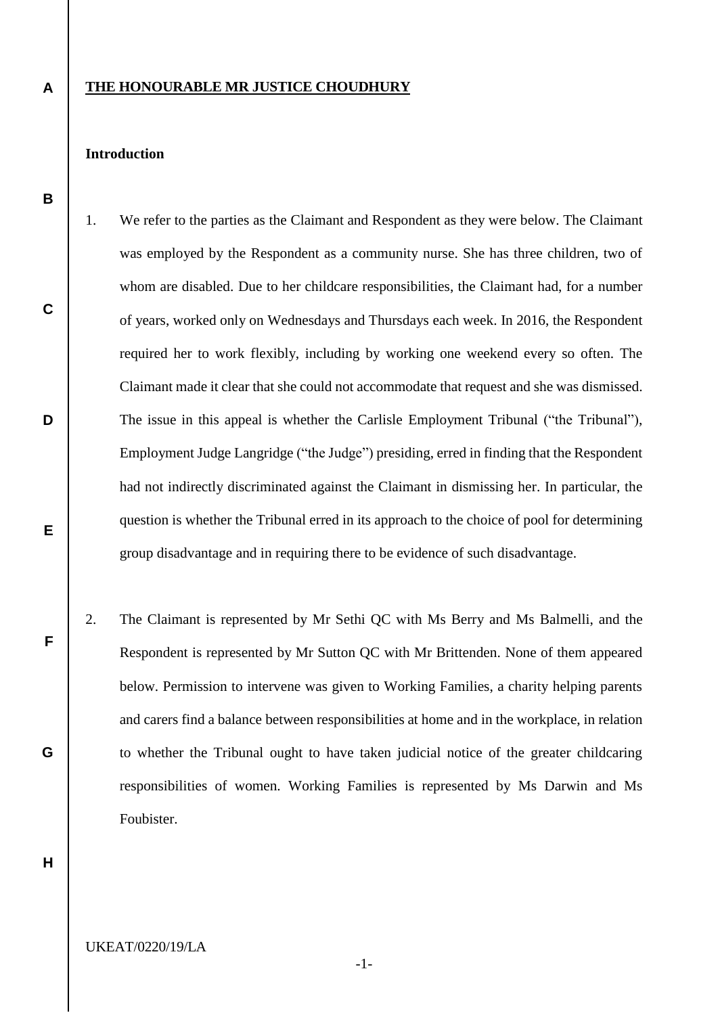# **THE HONOURABLE MR JUSTICE CHOUDHURY**

# **Introduction**

**A**

**B**

**C**

**D**

**E**

**F**

- 1. We refer to the parties as the Claimant and Respondent as they were below. The Claimant was employed by the Respondent as a community nurse. She has three children, two of whom are disabled. Due to her childcare responsibilities, the Claimant had, for a number of years, worked only on Wednesdays and Thursdays each week. In 2016, the Respondent required her to work flexibly, including by working one weekend every so often. The Claimant made it clear that she could not accommodate that request and she was dismissed. The issue in this appeal is whether the Carlisle Employment Tribunal ("the Tribunal"), Employment Judge Langridge ("the Judge") presiding, erred in finding that the Respondent had not indirectly discriminated against the Claimant in dismissing her. In particular, the question is whether the Tribunal erred in its approach to the choice of pool for determining group disadvantage and in requiring there to be evidence of such disadvantage.
- 2. The Claimant is represented by Mr Sethi QC with Ms Berry and Ms Balmelli, and the Respondent is represented by Mr Sutton QC with Mr Brittenden. None of them appeared below. Permission to intervene was given to Working Families, a charity helping parents and carers find a balance between responsibilities at home and in the workplace, in relation to whether the Tribunal ought to have taken judicial notice of the greater childcaring responsibilities of women. Working Families is represented by Ms Darwin and Ms Foubister.

**H**

**G**

UKEAT/0220/19/LA

-1-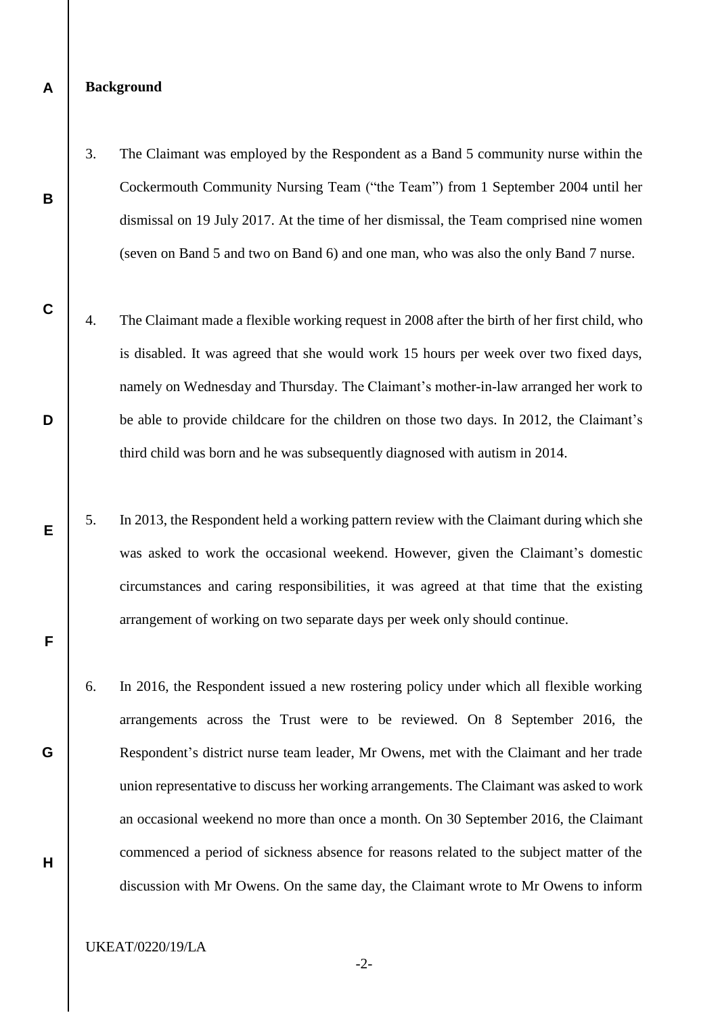# **Background**

**A**

**B**

**C**

**D**

**E**

**F**

**G**

**H**

- 3. The Claimant was employed by the Respondent as a Band 5 community nurse within the Cockermouth Community Nursing Team ("the Team") from 1 September 2004 until her dismissal on 19 July 2017. At the time of her dismissal, the Team comprised nine women (seven on Band 5 and two on Band 6) and one man, who was also the only Band 7 nurse.
- 4. The Claimant made a flexible working request in 2008 after the birth of her first child, who is disabled. It was agreed that she would work 15 hours per week over two fixed days, namely on Wednesday and Thursday. The Claimant's mother-in-law arranged her work to be able to provide childcare for the children on those two days. In 2012, the Claimant's third child was born and he was subsequently diagnosed with autism in 2014.
	- 5. In 2013, the Respondent held a working pattern review with the Claimant during which she was asked to work the occasional weekend. However, given the Claimant's domestic circumstances and caring responsibilities, it was agreed at that time that the existing arrangement of working on two separate days per week only should continue.
- 6. In 2016, the Respondent issued a new rostering policy under which all flexible working arrangements across the Trust were to be reviewed. On 8 September 2016, the Respondent's district nurse team leader, Mr Owens, met with the Claimant and her trade union representative to discuss her working arrangements. The Claimant was asked to work an occasional weekend no more than once a month. On 30 September 2016, the Claimant commenced a period of sickness absence for reasons related to the subject matter of the discussion with Mr Owens. On the same day, the Claimant wrote to Mr Owens to inform

UKEAT/0220/19/LA

-2-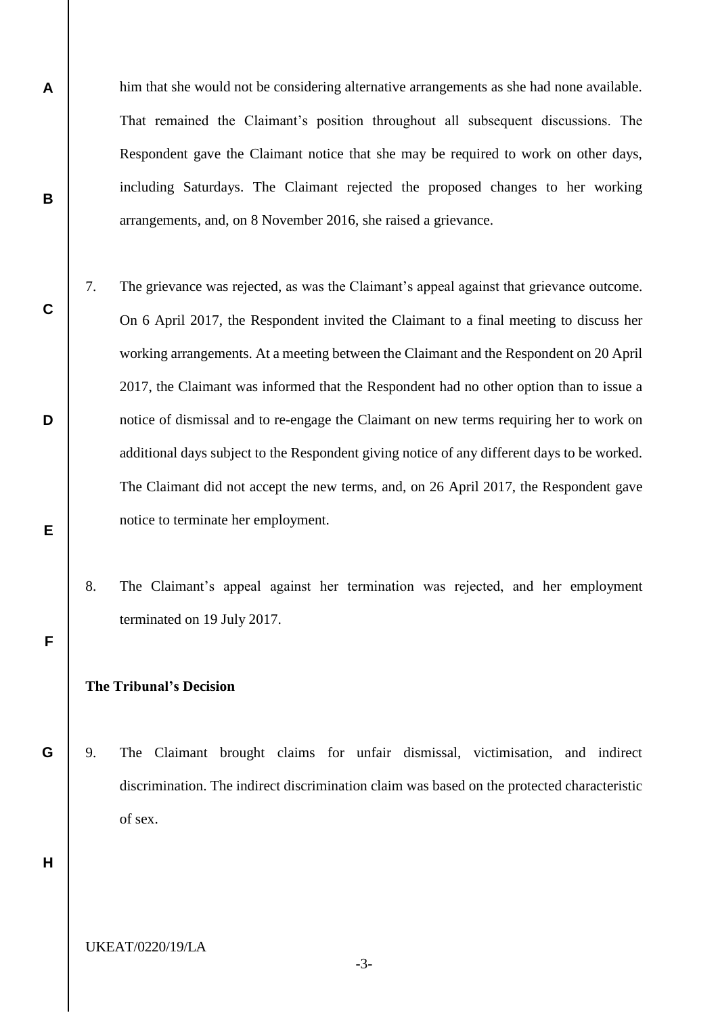him that she would not be considering alternative arrangements as she had none available. That remained the Claimant's position throughout all subsequent discussions. The Respondent gave the Claimant notice that she may be required to work on other days, including Saturdays. The Claimant rejected the proposed changes to her working arrangements, and, on 8 November 2016, she raised a grievance.

- 7. The grievance was rejected, as was the Claimant's appeal against that grievance outcome. On 6 April 2017, the Respondent invited the Claimant to a final meeting to discuss her working arrangements. At a meeting between the Claimant and the Respondent on 20 April 2017, the Claimant was informed that the Respondent had no other option than to issue a notice of dismissal and to re-engage the Claimant on new terms requiring her to work on additional days subject to the Respondent giving notice of any different days to be worked. The Claimant did not accept the new terms, and, on 26 April 2017, the Respondent gave notice to terminate her employment.
	- 8. The Claimant's appeal against her termination was rejected, and her employment terminated on 19 July 2017.

# **The Tribunal's Decision**

**G** 9. The Claimant brought claims for unfair dismissal, victimisation, and indirect discrimination. The indirect discrimination claim was based on the protected characteristic of sex.

**H**

**A**

**B**

**C**

**D**

**E**

**F**

UKEAT/0220/19/LA

-3-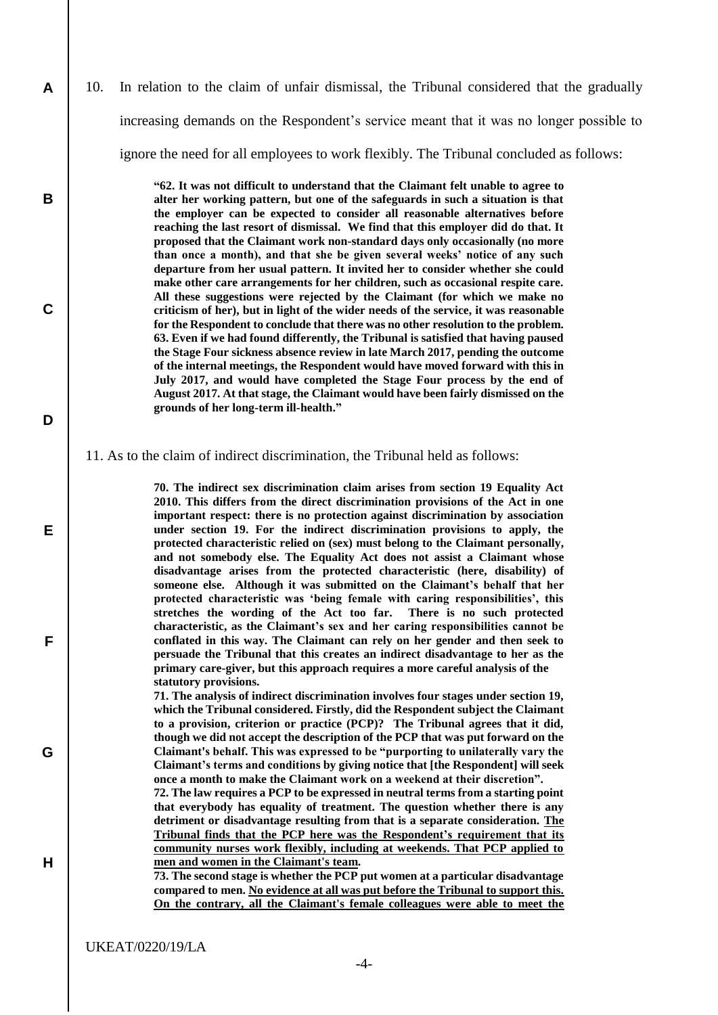10. In relation to the claim of unfair dismissal, the Tribunal considered that the gradually increasing demands on the Respondent's service meant that it was no longer possible to ignore the need for all employees to work flexibly. The Tribunal concluded as follows:

> **"62. It was not difficult to understand that the Claimant felt unable to agree to alter her working pattern, but one of the safeguards in such a situation is that the employer can be expected to consider all reasonable alternatives before reaching the last resort of dismissal. We find that this employer did do that. It proposed that the Claimant work non-standard days only occasionally (no more than once a month), and that she be given several weeks' notice of any such departure from her usual pattern. It invited her to consider whether she could make other care arrangements for her children, such as occasional respite care. All these suggestions were rejected by the Claimant (for which we make no criticism of her), but in light of the wider needs of the service, it was reasonable for the Respondent to conclude that there was no other resolution to the problem. 63. Even if we had found differently, the Tribunal is satisfied that having paused the Stage Four sickness absence review in late March 2017, pending the outcome of the internal meetings, the Respondent would have moved forward with this in July 2017, and would have completed the Stage Four process by the end of August 2017. At that stage, the Claimant would have been fairly dismissed on the grounds of her long-term ill-health."**

#### 11. As to the claim of indirect discrimination, the Tribunal held as follows:

**70. The indirect sex discrimination claim arises from section 19 Equality Act 2010. This differs from the direct discrimination provisions of the Act in one important respect: there is no protection against discrimination by association under section 19. For the indirect discrimination provisions to apply, the protected characteristic relied on (sex) must belong to the Claimant personally, and not somebody else. The Equality Act does not assist a Claimant whose disadvantage arises from the protected characteristic (here, disability) of someone else. Although it was submitted on the Claimant's behalf that her protected characteristic was 'being female with caring responsibilities', this stretches the wording of the Act too far. There is no such protected characteristic, as the Claimant's sex and her caring responsibilities cannot be conflated in this way. The Claimant can rely on her gender and then seek to persuade the Tribunal that this creates an indirect disadvantage to her as the primary care-giver, but this approach requires a more careful analysis of the statutory provisions.** 

**71. The analysis of indirect discrimination involves four stages under section 19, which the Tribunal considered. Firstly, did the Respondent subject the Claimant to a provision, criterion or practice (PCP)? The Tribunal agrees that it did, though we did not accept the description of the PCP that was put forward on the Claimant's behalf. This was expressed to be "purporting to unilaterally vary the Claimant's terms and conditions by giving notice that [the Respondent] will seek once a month to make the Claimant work on a weekend at their discretion".** 

**72. The law requires a PCP to be expressed in neutral terms from a starting point that everybody has equality of treatment. The question whether there is any detriment or disadvantage resulting from that is a separate consideration. The Tribunal finds that the PCP here was the Respondent's requirement that its community nurses work flexibly, including at weekends. That PCP applied to men and women in the Claimant's team.** 

**73. The second stage is whether the PCP put women at a particular disadvantage compared to men. No evidence at all was put before the Tribunal to support this. On the contrary, all the Claimant's female colleagues were able to meet the** 

**A**

**B**

**C**

**D**

**E**

**F**

**G**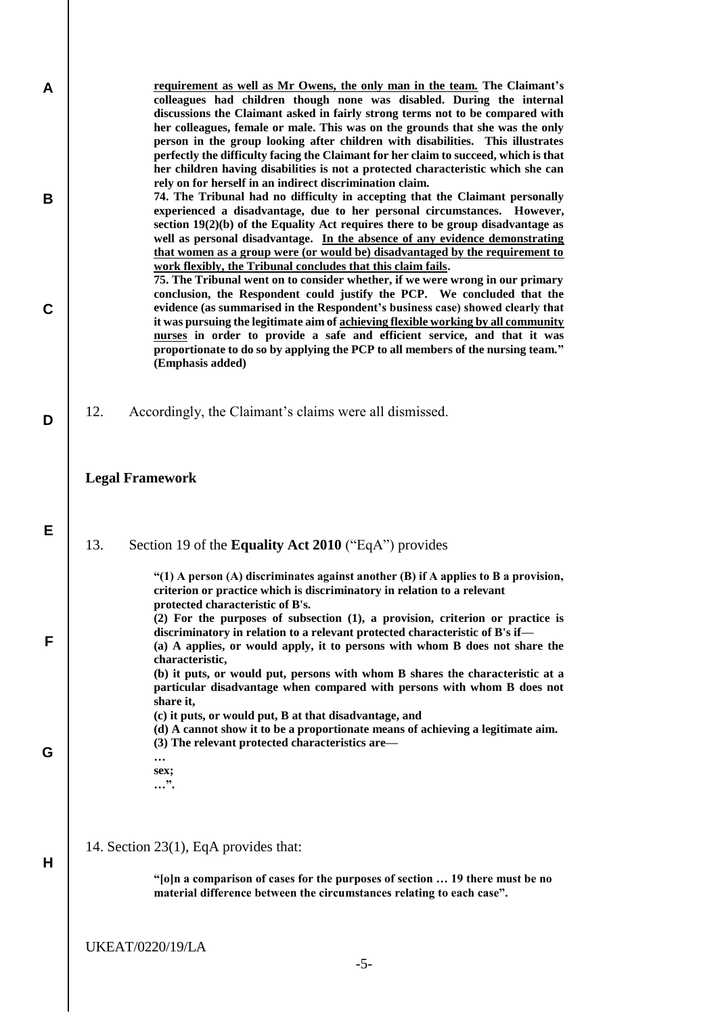| A<br>В      | <u>requirement as well as Mr Owens, the only man in the team.</u> The Claimant's<br>colleagues had children though none was disabled. During the internal<br>discussions the Claimant asked in fairly strong terms not to be compared with<br>her colleagues, female or male. This was on the grounds that she was the only<br>person in the group looking after children with disabilities. This illustrates<br>perfectly the difficulty facing the Claimant for her claim to succeed, which is that<br>her children having disabilities is not a protected characteristic which she can<br>rely on for herself in an indirect discrimination claim.<br>74. The Tribunal had no difficulty in accepting that the Claimant personally<br>experienced a disadvantage, due to her personal circumstances. However,<br>section $19(2)(b)$ of the Equality Act requires there to be group disadvantage as<br>well as personal disadvantage. In the absence of any evidence demonstrating<br>that women as a group were (or would be) disadvantaged by the requirement to<br>work flexibly, the Tribunal concludes that this claim fails. |
|-------------|--------------------------------------------------------------------------------------------------------------------------------------------------------------------------------------------------------------------------------------------------------------------------------------------------------------------------------------------------------------------------------------------------------------------------------------------------------------------------------------------------------------------------------------------------------------------------------------------------------------------------------------------------------------------------------------------------------------------------------------------------------------------------------------------------------------------------------------------------------------------------------------------------------------------------------------------------------------------------------------------------------------------------------------------------------------------------------------------------------------------------------------|
| $\mathbf C$ | 75. The Tribunal went on to consider whether, if we were wrong in our primary<br>conclusion, the Respondent could justify the PCP. We concluded that the<br>evidence (as summarised in the Respondent's business case) showed clearly that<br>it was pursuing the legitimate aim of achieving flexible working by all community<br>nurses in order to provide a safe and efficient service, and that it was<br>proportionate to do so by applying the PCP to all members of the nursing team."<br>(Emphasis added)                                                                                                                                                                                                                                                                                                                                                                                                                                                                                                                                                                                                                   |
| D           | 12.<br>Accordingly, the Claimant's claims were all dismissed.                                                                                                                                                                                                                                                                                                                                                                                                                                                                                                                                                                                                                                                                                                                                                                                                                                                                                                                                                                                                                                                                        |
|             | <b>Legal Framework</b>                                                                                                                                                                                                                                                                                                                                                                                                                                                                                                                                                                                                                                                                                                                                                                                                                                                                                                                                                                                                                                                                                                               |
| Е           | 13.<br>Section 19 of the Equality Act 2010 ("EqA") provides                                                                                                                                                                                                                                                                                                                                                                                                                                                                                                                                                                                                                                                                                                                                                                                                                                                                                                                                                                                                                                                                          |
| F           | "(1) A person (A) discriminates against another (B) if A applies to B a provision,<br>criterion or practice which is discriminatory in relation to a relevant<br>protected characteristic of B's.<br>$(2)$ For the purposes of subsection $(1)$ , a provision, criterion or practice is<br>discriminatory in relation to a relevant protected characteristic of B's if-<br>(a) A applies, or would apply, it to persons with whom B does not share the<br>characteristic,<br>(b) it puts, or would put, persons with whom B shares the characteristic at a<br>particular disadvantage when compared with persons with whom B does not<br>share it,                                                                                                                                                                                                                                                                                                                                                                                                                                                                                   |
| G           | (c) it puts, or would put, B at that disadvantage, and<br>(d) A cannot show it to be a proportionate means of achieving a legitimate aim.<br>(3) The relevant protected characteristics are—<br>sex;<br>".                                                                                                                                                                                                                                                                                                                                                                                                                                                                                                                                                                                                                                                                                                                                                                                                                                                                                                                           |
| н           | 14. Section 23(1), EqA provides that:<br>"[o]n a comparison of cases for the purposes of section  19 there must be no<br>material difference between the circumstances relating to each case".                                                                                                                                                                                                                                                                                                                                                                                                                                                                                                                                                                                                                                                                                                                                                                                                                                                                                                                                       |
|             | <b>UKEAT/0220/19/LA</b><br>$-5-$                                                                                                                                                                                                                                                                                                                                                                                                                                                                                                                                                                                                                                                                                                                                                                                                                                                                                                                                                                                                                                                                                                     |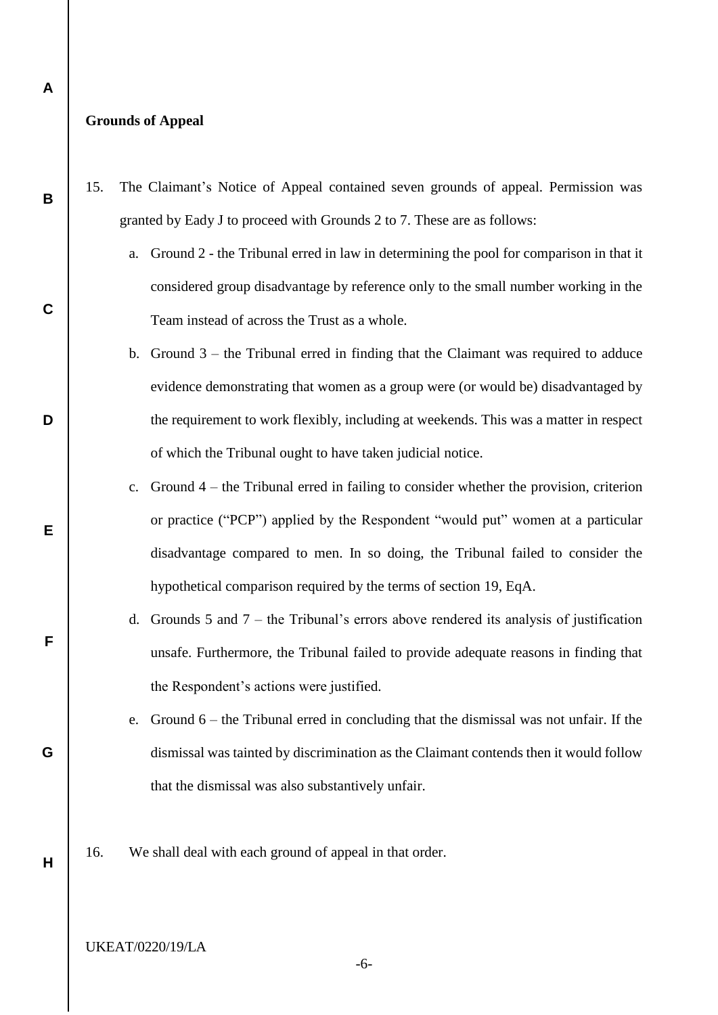# **Grounds of Appeal**

**A**

**B**

**C**

**D**

**E**

**F**

**G**

**H**

- 15. The Claimant's Notice of Appeal contained seven grounds of appeal. Permission was granted by Eady J to proceed with Grounds 2 to 7. These are as follows:
	- a. Ground 2 the Tribunal erred in law in determining the pool for comparison in that it considered group disadvantage by reference only to the small number working in the Team instead of across the Trust as a whole.
	- b. Ground 3 the Tribunal erred in finding that the Claimant was required to adduce evidence demonstrating that women as a group were (or would be) disadvantaged by the requirement to work flexibly, including at weekends. This was a matter in respect of which the Tribunal ought to have taken judicial notice.
	- c. Ground 4 the Tribunal erred in failing to consider whether the provision, criterion or practice ("PCP") applied by the Respondent "would put" women at a particular disadvantage compared to men. In so doing, the Tribunal failed to consider the hypothetical comparison required by the terms of section 19, EqA.
	- d. Grounds 5 and 7 the Tribunal's errors above rendered its analysis of justification unsafe. Furthermore, the Tribunal failed to provide adequate reasons in finding that the Respondent's actions were justified.
	- e. Ground 6 the Tribunal erred in concluding that the dismissal was not unfair. If the dismissal was tainted by discrimination as the Claimant contends then it would follow that the dismissal was also substantively unfair.
- 16. We shall deal with each ground of appeal in that order.

# UKEAT/0220/19/LA

-6-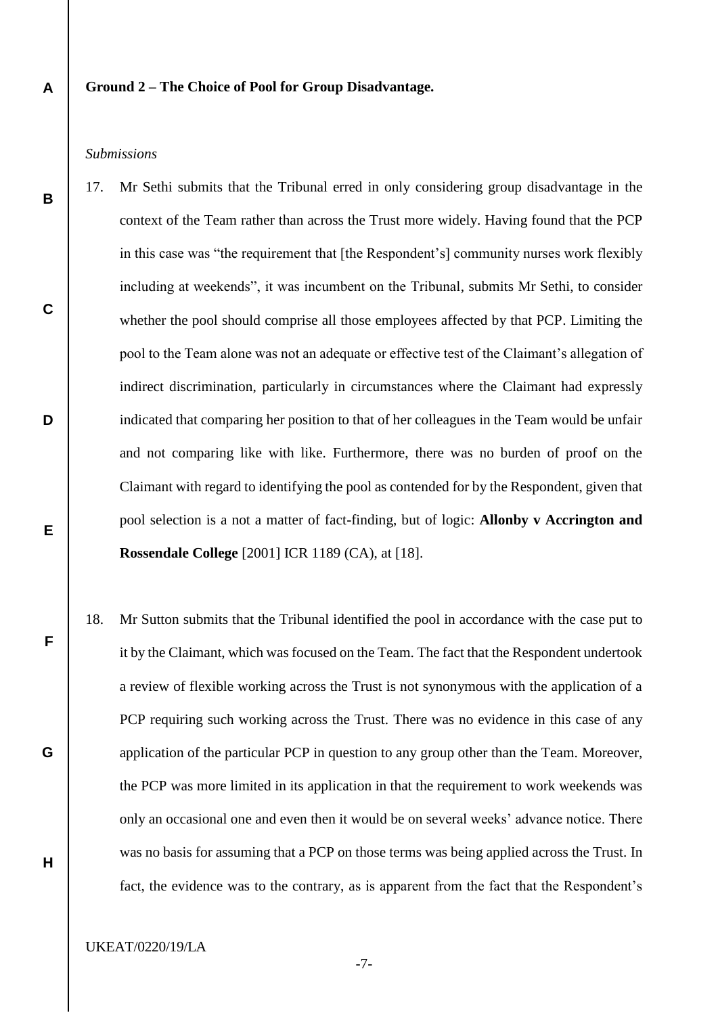# **Ground 2 – The Choice of Pool for Group Disadvantage.**

# *Submissions*

**A**

**B**

**C**

**D**

**E**

**F**

**G**

**H**

- 17. Mr Sethi submits that the Tribunal erred in only considering group disadvantage in the context of the Team rather than across the Trust more widely. Having found that the PCP in this case was "the requirement that [the Respondent's] community nurses work flexibly including at weekends", it was incumbent on the Tribunal, submits Mr Sethi, to consider whether the pool should comprise all those employees affected by that PCP. Limiting the pool to the Team alone was not an adequate or effective test of the Claimant's allegation of indirect discrimination, particularly in circumstances where the Claimant had expressly indicated that comparing her position to that of her colleagues in the Team would be unfair and not comparing like with like. Furthermore, there was no burden of proof on the Claimant with regard to identifying the pool as contended for by the Respondent, given that pool selection is a not a matter of fact-finding, but of logic: **Allonby v Accrington and Rossendale College** [2001] ICR 1189 (CA), at [18].
- 18. Mr Sutton submits that the Tribunal identified the pool in accordance with the case put to it by the Claimant, which was focused on the Team. The fact that the Respondent undertook a review of flexible working across the Trust is not synonymous with the application of a PCP requiring such working across the Trust. There was no evidence in this case of any application of the particular PCP in question to any group other than the Team. Moreover, the PCP was more limited in its application in that the requirement to work weekends was only an occasional one and even then it would be on several weeks' advance notice. There was no basis for assuming that a PCP on those terms was being applied across the Trust. In fact, the evidence was to the contrary, as is apparent from the fact that the Respondent's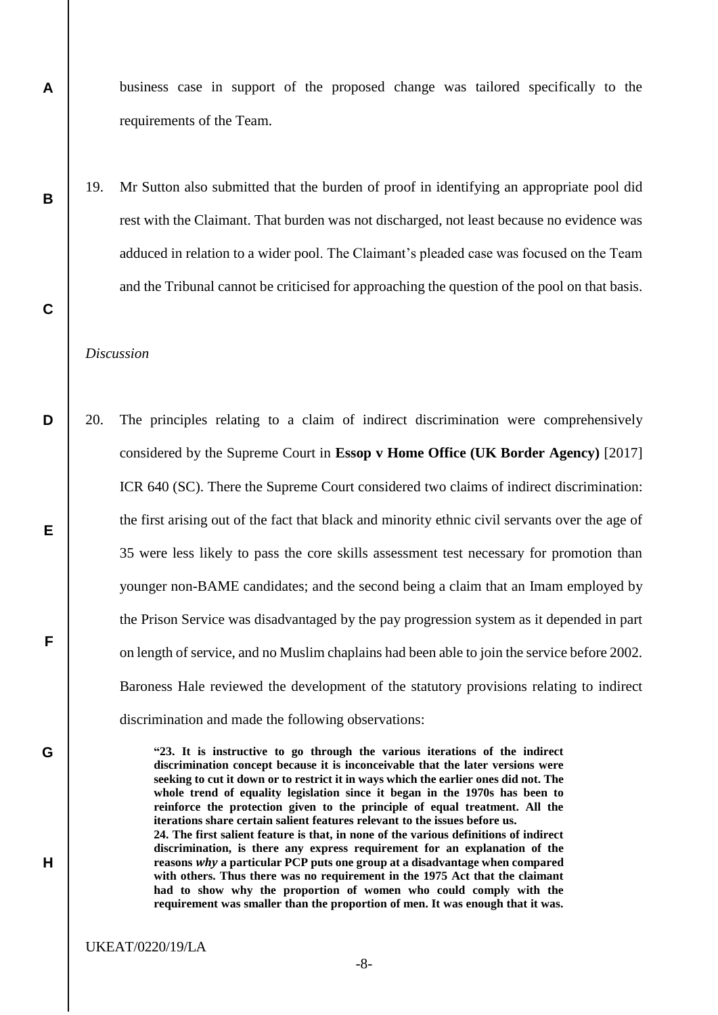business case in support of the proposed change was tailored specifically to the requirements of the Team.

19. Mr Sutton also submitted that the burden of proof in identifying an appropriate pool did rest with the Claimant. That burden was not discharged, not least because no evidence was adduced in relation to a wider pool. The Claimant's pleaded case was focused on the Team and the Tribunal cannot be criticised for approaching the question of the pool on that basis.

# *Discussion*

**A**

**B**

**C**

**G**

**H**

**D E F** 20. The principles relating to a claim of indirect discrimination were comprehensively considered by the Supreme Court in **Essop v Home Office (UK Border Agency)** [2017] ICR 640 (SC). There the Supreme Court considered two claims of indirect discrimination: the first arising out of the fact that black and minority ethnic civil servants over the age of 35 were less likely to pass the core skills assessment test necessary for promotion than younger non-BAME candidates; and the second being a claim that an Imam employed by the Prison Service was disadvantaged by the pay progression system as it depended in part on length of service, and no Muslim chaplains had been able to join the service before 2002. Baroness Hale reviewed the development of the statutory provisions relating to indirect discrimination and made the following observations:

> **"23. It is instructive to go through the various iterations of the indirect discrimination concept because it is inconceivable that the later versions were seeking to cut it down or to restrict it in ways which the earlier ones did not. The whole trend of equality legislation since it began in the 1970s has been to reinforce the protection given to the principle of equal treatment. All the iterations share certain salient features relevant to the issues before us. 24. The first salient feature is that, in none of the various definitions of indirect discrimination, is there any express requirement for an explanation of the reasons** *why* **a particular PCP puts one group at a disadvantage when compared with others. Thus there was no requirement in the 1975 Act that the claimant had to show why the proportion of women who could comply with the requirement was smaller than the proportion of men. It was enough that it was.**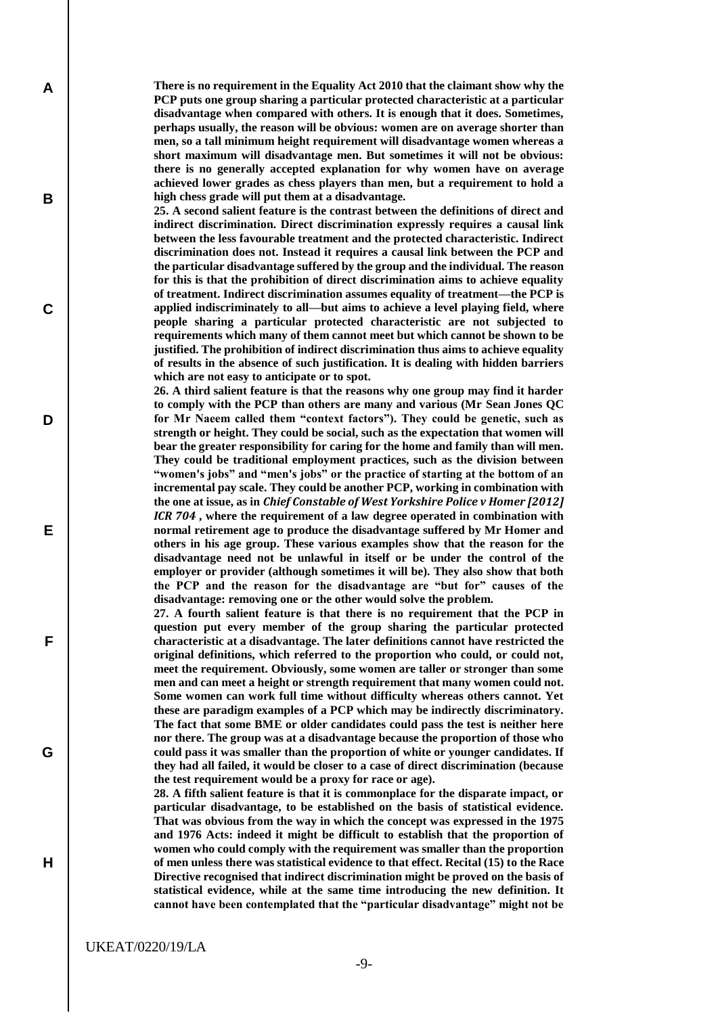**There is no requirement in the Equality Act 2010 that the claimant show why the PCP puts one group sharing a particular protected characteristic at a particular disadvantage when compared with others. It is enough that it does. Sometimes, perhaps usually, the reason will be obvious: women are on average shorter than men, so a tall minimum height requirement will disadvantage women whereas a short maximum will disadvantage men. But sometimes it will not be obvious: there is no generally accepted explanation for why women have on average achieved lower grades as chess players than men, but a requirement to hold a high chess grade will put them at a disadvantage.**

**25. A second salient feature is the contrast between the definitions of direct and indirect discrimination. Direct discrimination expressly requires a causal link between the less favourable treatment and the protected characteristic. Indirect discrimination does not. Instead it requires a causal link between the PCP and the particular disadvantage suffered by the group and the individual. The reason for this is that the prohibition of direct discrimination aims to achieve equality of treatment. Indirect discrimination assumes equality of treatment—the PCP is applied indiscriminately to all—but aims to achieve a level playing field, where people sharing a particular protected characteristic are not subjected to requirements which many of them cannot meet but which cannot be shown to be justified. The prohibition of indirect discrimination thus aims to achieve equality of results in the absence of such justification. It is dealing with hidden barriers which are not easy to anticipate or to spot.**

**26. A third salient feature is that the reasons why one group may find it harder to comply with the PCP than others are many and various (Mr Sean Jones QC for Mr Naeem called them "context factors"). They could be genetic, such as strength or height. They could be social, such as the expectation that women will bear the greater responsibility for caring for the home and family than will men. They could be traditional employment practices, such as the division between "women's jobs" and "men's jobs" or the practice of starting at the bottom of an incremental pay scale. They could be another PCP, working in combination with the one at issue, as in** *Chief Constable of West Yorkshire Police v Homer [2012] ICR 704* **, where the requirement of a law degree operated in combination with normal retirement age to produce the disadvantage suffered by Mr Homer and others in his age group. These various examples show that the reason for the disadvantage need not be unlawful in itself or be under the control of the employer or provider (although sometimes it will be). They also show that both the PCP and the reason for the disadvantage are "but for" causes of the disadvantage: removing one or the other would solve the problem.**

**27. A fourth salient feature is that there is no requirement that the PCP in question put every member of the group sharing the particular protected characteristic at a disadvantage. The later definitions cannot have restricted the original definitions, which referred to the proportion who could, or could not, meet the requirement. Obviously, some women are taller or stronger than some men and can meet a height or strength requirement that many women could not. Some women can work full time without difficulty whereas others cannot. Yet these are paradigm examples of a PCP which may be indirectly discriminatory. The fact that some BME or older candidates could pass the test is neither here nor there. The group was at a disadvantage because the proportion of those who could pass it was smaller than the proportion of white or younger candidates. If they had all failed, it would be closer to a case of direct discrimination (because the test requirement would be a proxy for race or age).**

**28. A fifth salient feature is that it is commonplace for the disparate impact, or particular disadvantage, to be established on the basis of statistical evidence. That was obvious from the way in which the concept was expressed in the 1975 and 1976 Acts: indeed it might be difficult to establish that the proportion of women who could comply with the requirement was smaller than the proportion of men unless there was statistical evidence to that effect. Recital (15) to the Race Directive recognised that indirect discrimination might be proved on the basis of statistical evidence, while at the same time introducing the new definition. It cannot have been contemplated that the "particular disadvantage" might not be** 

**A**

**B**

**C**

**D**

**E**

**F**

**G**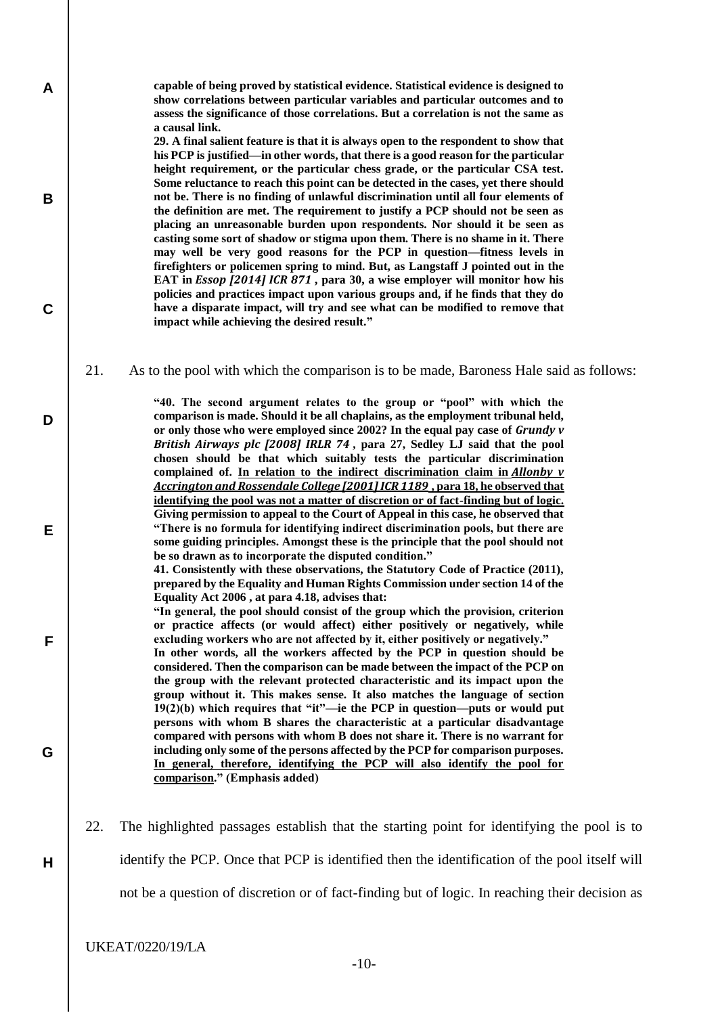**capable of being proved by statistical evidence. Statistical evidence is designed to show correlations between particular variables and particular outcomes and to assess the significance of those correlations. But a correlation is not the same as a causal link.**

**29. A final salient feature is that it is always open to the respondent to show that his PCP is justified—in other words, that there is a good reason for the particular height requirement, or the particular chess grade, or the particular CSA test. Some reluctance to reach this point can be detected in the cases, yet there should not be. There is no finding of unlawful discrimination until all four elements of the definition are met. The requirement to justify a PCP should not be seen as placing an unreasonable burden upon respondents. Nor should it be seen as casting some sort of shadow or stigma upon them. There is no shame in it. There may well be very good reasons for the PCP in question—fitness levels in firefighters or policemen spring to mind. But, as Langstaff J pointed out in the EAT in** *Essop [2014] ICR 871* **, para 30, a wise employer will monitor how his policies and practices impact upon various groups and, if he finds that they do have a disparate impact, will try and see what can be modified to remove that impact while achieving the desired result."**

21. As to the pool with which the comparison is to be made, Baroness Hale said as follows:

**"40. The second argument relates to the group or "pool" with which the comparison is made. Should it be all chaplains, as the employment tribunal held, or only those who were employed since 2002? In the equal pay case of** *Grundy v British Airways plc [2008] IRLR 74* **, para 27, Sedley LJ said that the pool chosen should be that which suitably tests the particular discrimination complained of. In relation to the indirect discrimination claim in** *Allonby v Accrington and Rossendale College [2001]ICR 1189* **, para 18, he observed that identifying the pool was not a matter of discretion or of fact-finding but of logic. Giving permission to appeal to the Court of Appeal in this case, he observed that "There is no formula for identifying indirect discrimination pools, but there are some guiding principles. Amongst these is the principle that the pool should not be so drawn as to incorporate the disputed condition."**

**41. Consistently with these observations, the Statutory Code of Practice (2011), prepared by the Equality and Human Rights Commission under section 14 of the Equality Act 2006 , at para 4.18, advises that:**

**"In general, the pool should consist of the group which the provision, criterion or practice affects (or would affect) either positively or negatively, while excluding workers who are not affected by it, either positively or negatively."**

**In other words, all the workers affected by the PCP in question should be considered. Then the comparison can be made between the impact of the PCP on the group with the relevant protected characteristic and its impact upon the group without it. This makes sense. It also matches the language of section 19(2)(b) which requires that "it"—ie the PCP in question—puts or would put persons with whom B shares the characteristic at a particular disadvantage compared with persons with whom B does not share it. There is no warrant for including only some of the persons affected by the PCP for comparison purposes. In general, therefore, identifying the PCP will also identify the pool for comparison." (Emphasis added)**

22. The highlighted passages establish that the starting point for identifying the pool is to

identify the PCP. Once that PCP is identified then the identification of the pool itself will

not be a question of discretion or of fact-finding but of logic. In reaching their decision as

UKEAT/0220/19/LA

**A**

**B**

**C**

**D**

**E**

**F**

**G**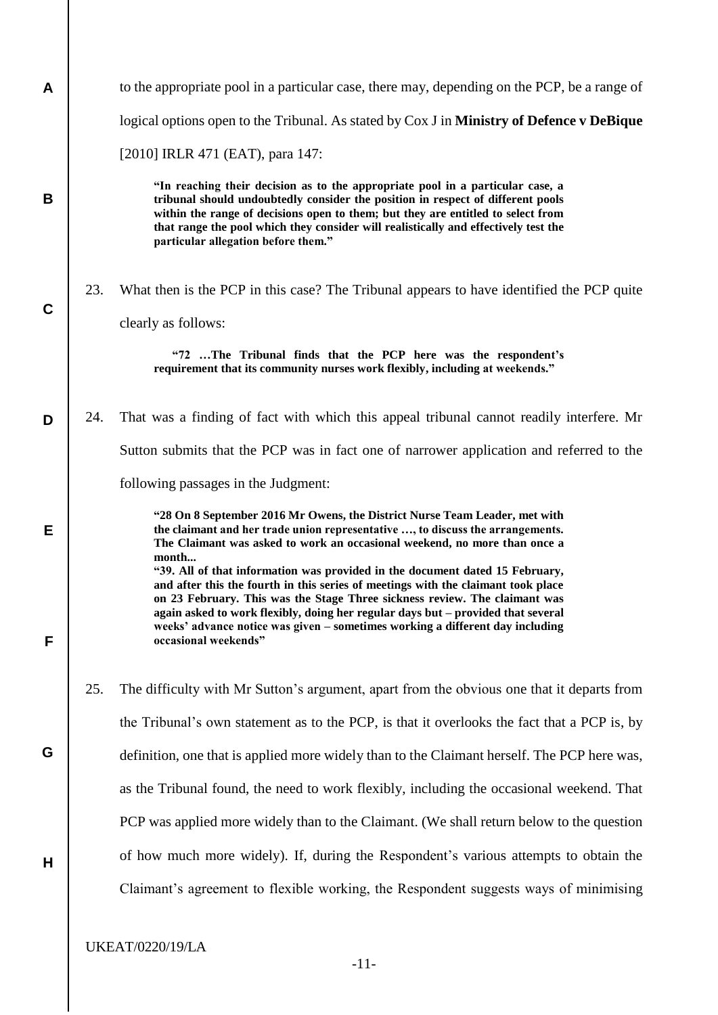| A |     | to the appropriate pool in a particular case, there may, depending on the PCP, be a range of                                                                                                                                                                                                                                                                                                                                                 |
|---|-----|----------------------------------------------------------------------------------------------------------------------------------------------------------------------------------------------------------------------------------------------------------------------------------------------------------------------------------------------------------------------------------------------------------------------------------------------|
|   |     | logical options open to the Tribunal. As stated by Cox J in <b>Ministry of Defence v DeBique</b>                                                                                                                                                                                                                                                                                                                                             |
|   |     | [2010] IRLR 471 (EAT), para 147:                                                                                                                                                                                                                                                                                                                                                                                                             |
| B |     | "In reaching their decision as to the appropriate pool in a particular case, a<br>tribunal should undoubtedly consider the position in respect of different pools<br>within the range of decisions open to them; but they are entitled to select from<br>that range the pool which they consider will realistically and effectively test the<br>particular allegation before them."                                                          |
| C | 23. | What then is the PCP in this case? The Tribunal appears to have identified the PCP quite<br>clearly as follows:                                                                                                                                                                                                                                                                                                                              |
|   |     | "72 The Tribunal finds that the PCP here was the respondent's<br>requirement that its community nurses work flexibly, including at weekends."                                                                                                                                                                                                                                                                                                |
| D | 24. | That was a finding of fact with which this appeal tribunal cannot readily interfere. Mr                                                                                                                                                                                                                                                                                                                                                      |
|   |     | Sutton submits that the PCP was in fact one of narrower application and referred to the                                                                                                                                                                                                                                                                                                                                                      |
|   |     | following passages in the Judgment:                                                                                                                                                                                                                                                                                                                                                                                                          |
| E |     | "28 On 8 September 2016 Mr Owens, the District Nurse Team Leader, met with<br>the claimant and her trade union representative , to discuss the arrangements.<br>The Claimant was asked to work an occasional weekend, no more than once a<br>month                                                                                                                                                                                           |
| F |     | "39. All of that information was provided in the document dated 15 February,<br>and after this the fourth in this series of meetings with the claimant took place<br>on 23 February. This was the Stage Three sickness review. The claimant was<br>again asked to work flexibly, doing her regular days but - provided that several<br>weeks' advance notice was given - sometimes working a different day including<br>occasional weekends" |
|   | 25. | The difficulty with Mr Sutton's argument, apart from the obvious one that it departs from                                                                                                                                                                                                                                                                                                                                                    |
|   |     | the Tribunal's own statement as to the PCP, is that it overlooks the fact that a PCP is, by                                                                                                                                                                                                                                                                                                                                                  |
| G |     | definition, one that is applied more widely than to the Claimant herself. The PCP here was,                                                                                                                                                                                                                                                                                                                                                  |
|   |     | as the Tribunal found, the need to work flexibly, including the occasional weekend. That                                                                                                                                                                                                                                                                                                                                                     |
|   |     | PCP was applied more widely than to the Claimant. (We shall return below to the question                                                                                                                                                                                                                                                                                                                                                     |
| H |     | of how much more widely). If, during the Respondent's various attempts to obtain the                                                                                                                                                                                                                                                                                                                                                         |
|   |     | Claimant's agreement to flexible working, the Respondent suggests ways of minimising                                                                                                                                                                                                                                                                                                                                                         |
|   |     |                                                                                                                                                                                                                                                                                                                                                                                                                                              |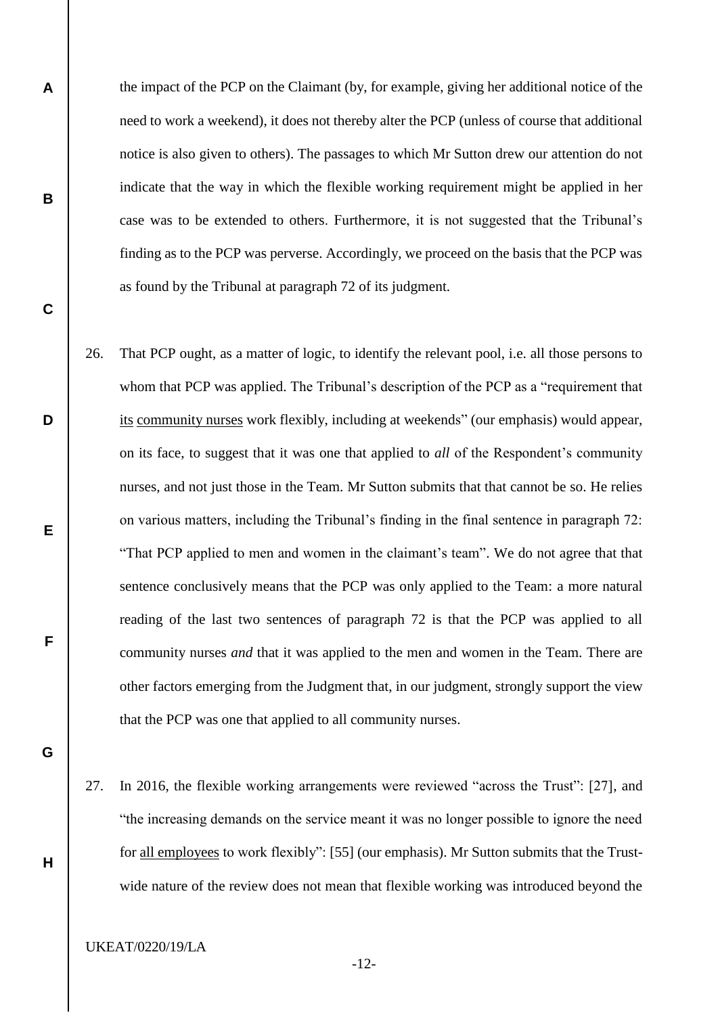the impact of the PCP on the Claimant (by, for example, giving her additional notice of the need to work a weekend), it does not thereby alter the PCP (unless of course that additional notice is also given to others). The passages to which Mr Sutton drew our attention do not indicate that the way in which the flexible working requirement might be applied in her case was to be extended to others. Furthermore, it is not suggested that the Tribunal's finding as to the PCP was perverse. Accordingly, we proceed on the basis that the PCP was as found by the Tribunal at paragraph 72 of its judgment.

- 26. That PCP ought, as a matter of logic, to identify the relevant pool, i.e. all those persons to whom that PCP was applied. The Tribunal's description of the PCP as a "requirement that its community nurses work flexibly, including at weekends" (our emphasis) would appear, on its face, to suggest that it was one that applied to *all* of the Respondent's community nurses, and not just those in the Team. Mr Sutton submits that that cannot be so. He relies on various matters, including the Tribunal's finding in the final sentence in paragraph 72: "That PCP applied to men and women in the claimant's team". We do not agree that that sentence conclusively means that the PCP was only applied to the Team: a more natural reading of the last two sentences of paragraph 72 is that the PCP was applied to all community nurses *and* that it was applied to the men and women in the Team. There are other factors emerging from the Judgment that, in our judgment, strongly support the view that the PCP was one that applied to all community nurses.
- **G**

**H**

**A**

**B**

**C**

**D**

**E**

**F**

27. In 2016, the flexible working arrangements were reviewed "across the Trust": [27], and "the increasing demands on the service meant it was no longer possible to ignore the need for all employees to work flexibly": [55] (our emphasis). Mr Sutton submits that the Trustwide nature of the review does not mean that flexible working was introduced beyond the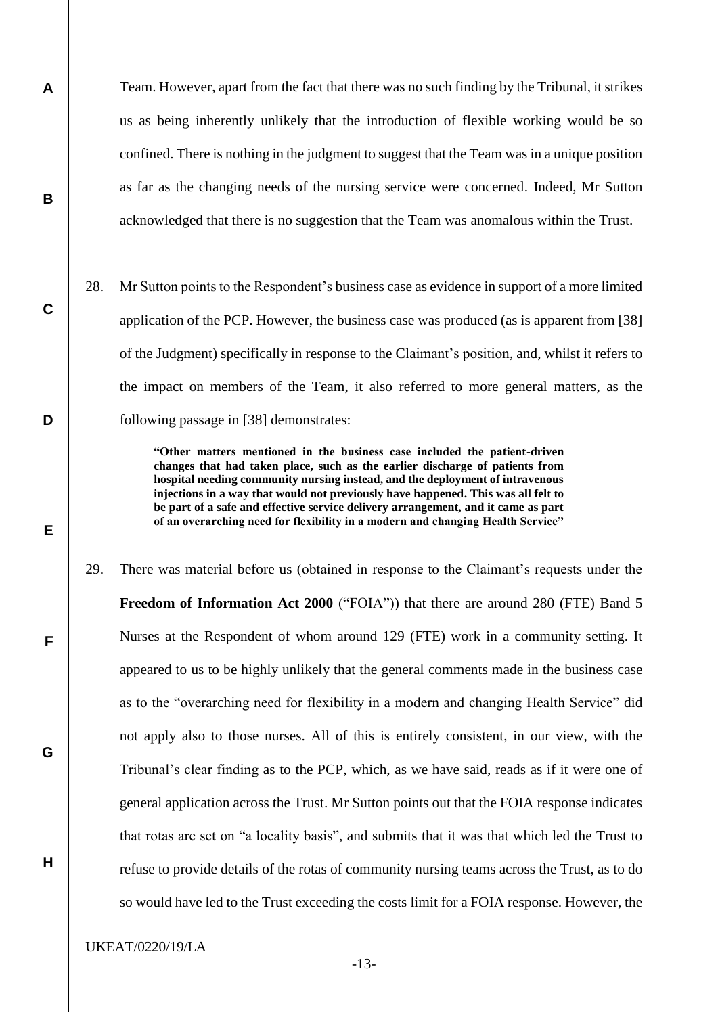Team. However, apart from the fact that there was no such finding by the Tribunal, it strikes us as being inherently unlikely that the introduction of flexible working would be so confined. There is nothing in the judgment to suggest that the Team was in a unique position as far as the changing needs of the nursing service were concerned. Indeed, Mr Sutton acknowledged that there is no suggestion that the Team was anomalous within the Trust.

28. Mr Sutton points to the Respondent's business case as evidence in support of a more limited application of the PCP. However, the business case was produced (as is apparent from [38] of the Judgment) specifically in response to the Claimant's position, and, whilst it refers to the impact on members of the Team, it also referred to more general matters, as the following passage in [38] demonstrates:

> **"Other matters mentioned in the business case included the patient-driven changes that had taken place, such as the earlier discharge of patients from hospital needing community nursing instead, and the deployment of intravenous injections in a way that would not previously have happened. This was all felt to be part of a safe and effective service delivery arrangement, and it came as part of an overarching need for flexibility in a modern and changing Health Service"**

29. There was material before us (obtained in response to the Claimant's requests under the **Freedom of Information Act 2000** ("FOIA")) that there are around 280 (FTE) Band 5 Nurses at the Respondent of whom around 129 (FTE) work in a community setting. It appeared to us to be highly unlikely that the general comments made in the business case as to the "overarching need for flexibility in a modern and changing Health Service" did not apply also to those nurses. All of this is entirely consistent, in our view, with the Tribunal's clear finding as to the PCP, which, as we have said, reads as if it were one of general application across the Trust. Mr Sutton points out that the FOIA response indicates that rotas are set on "a locality basis", and submits that it was that which led the Trust to refuse to provide details of the rotas of community nursing teams across the Trust, as to do so would have led to the Trust exceeding the costs limit for a FOIA response. However, the

UKEAT/0220/19/LA

**A**

**B**

**C**

**D**

**E**

**F**

**G**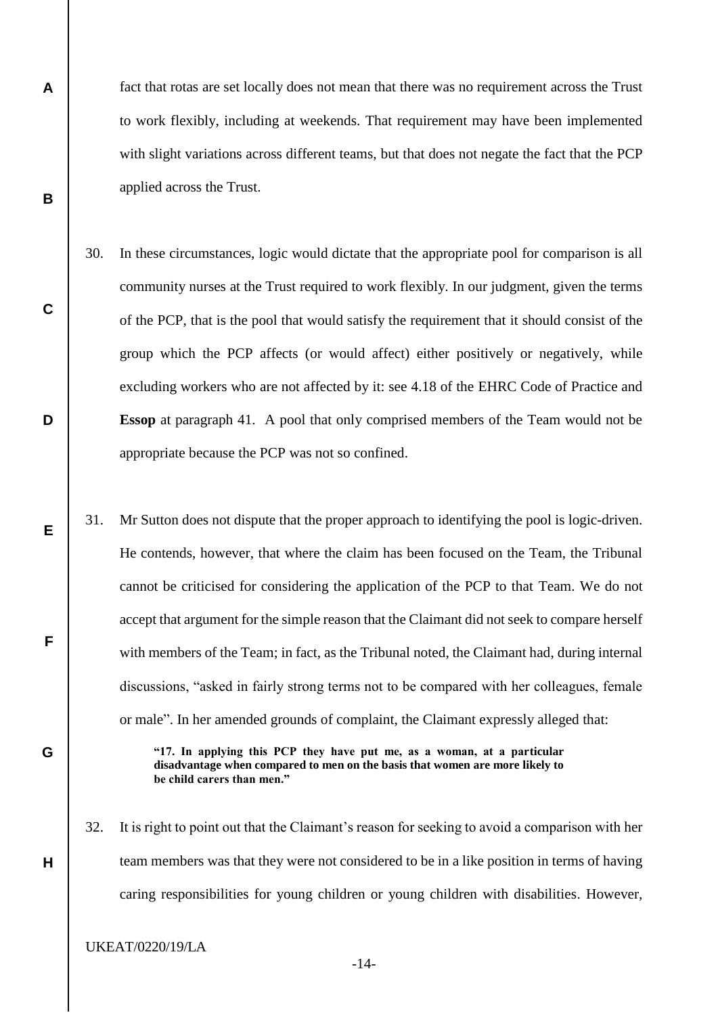fact that rotas are set locally does not mean that there was no requirement across the Trust to work flexibly, including at weekends. That requirement may have been implemented with slight variations across different teams, but that does not negate the fact that the PCP applied across the Trust.

- 30. In these circumstances, logic would dictate that the appropriate pool for comparison is all community nurses at the Trust required to work flexibly. In our judgment, given the terms of the PCP, that is the pool that would satisfy the requirement that it should consist of the group which the PCP affects (or would affect) either positively or negatively, while excluding workers who are not affected by it: see 4.18 of the EHRC Code of Practice and **Essop** at paragraph 41. A pool that only comprised members of the Team would not be appropriate because the PCP was not so confined.
- 31. Mr Sutton does not dispute that the proper approach to identifying the pool is logic-driven. He contends, however, that where the claim has been focused on the Team, the Tribunal cannot be criticised for considering the application of the PCP to that Team. We do not accept that argument for the simple reason that the Claimant did not seek to compare herself with members of the Team; in fact, as the Tribunal noted, the Claimant had, during internal discussions, "asked in fairly strong terms not to be compared with her colleagues, female or male". In her amended grounds of complaint, the Claimant expressly alleged that:

**"17. In applying this PCP they have put me, as a woman, at a particular disadvantage when compared to men on the basis that women are more likely to be child carers than men."**

32. It is right to point out that the Claimant's reason for seeking to avoid a comparison with her team members was that they were not considered to be in a like position in terms of having caring responsibilities for young children or young children with disabilities. However,

UKEAT/0220/19/LA

**A**

**B**

**C**

**D**

**E**

**F**

**G**

**H**

-14-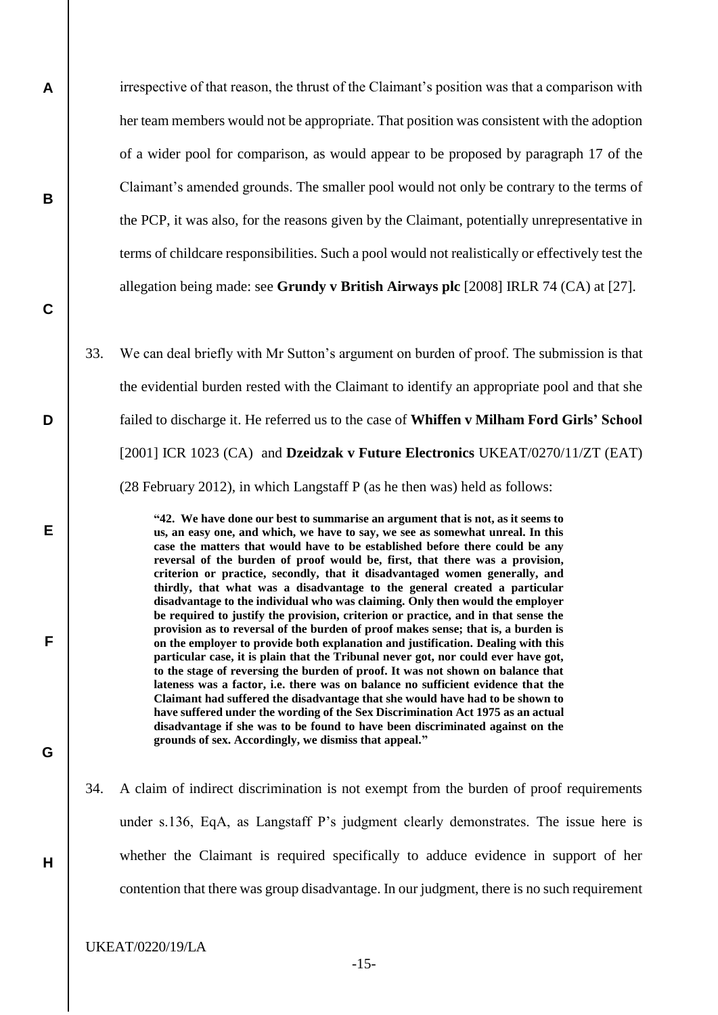irrespective of that reason, the thrust of the Claimant's position was that a comparison with her team members would not be appropriate. That position was consistent with the adoption of a wider pool for comparison, as would appear to be proposed by paragraph 17 of the Claimant's amended grounds. The smaller pool would not only be contrary to the terms of the PCP, it was also, for the reasons given by the Claimant, potentially unrepresentative in terms of childcare responsibilities. Such a pool would not realistically or effectively test the allegation being made: see **Grundy v British Airways plc** [2008] IRLR 74 (CA) at [27].

33. We can deal briefly with Mr Sutton's argument on burden of proof. The submission is that the evidential burden rested with the Claimant to identify an appropriate pool and that she failed to discharge it. He referred us to the case of **Whiffen v Milham Ford Girls' School** [2001] ICR 1023 (CA) and **Dzeidzak v Future Electronics** UKEAT/0270/11/ZT (EAT) (28 February 2012), in which Langstaff P (as he then was) held as follows:

> **"42. We have done our best to summarise an argument that is not, as it seems to us, an easy one, and which, we have to say, we see as somewhat unreal. In this case the matters that would have to be established before there could be any reversal of the burden of proof would be, first, that there was a provision, criterion or practice, secondly, that it disadvantaged women generally, and thirdly, that what was a disadvantage to the general created a particular disadvantage to the individual who was claiming. Only then would the employer be required to justify the provision, criterion or practice, and in that sense the provision as to reversal of the burden of proof makes sense; that is, a burden is on the employer to provide both explanation and justification. Dealing with this particular case, it is plain that the Tribunal never got, nor could ever have got, to the stage of reversing the burden of proof. It was not shown on balance that lateness was a factor, i.e. there was on balance no sufficient evidence that the Claimant had suffered the disadvantage that she would have had to be shown to have suffered under the wording of the Sex Discrimination Act 1975 as an actual disadvantage if she was to be found to have been discriminated against on the grounds of sex. Accordingly, we dismiss that appeal."**

34. A claim of indirect discrimination is not exempt from the burden of proof requirements under s.136, EqA, as Langstaff P's judgment clearly demonstrates. The issue here is whether the Claimant is required specifically to adduce evidence in support of her contention that there was group disadvantage. In our judgment, there is no such requirement

UKEAT/0220/19/LA

**A**

**B**

**C**

**D**

**E**

**F**

**G**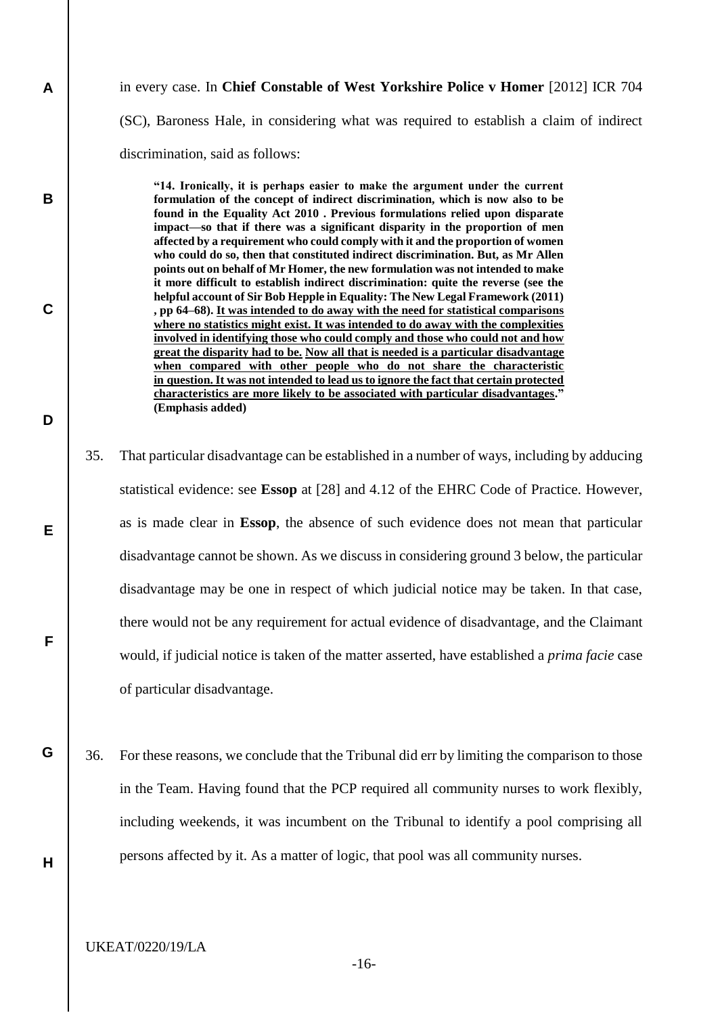# in every case. In **Chief Constable of West Yorkshire Police v Homer** [2012] ICR 704 (SC), Baroness Hale, in considering what was required to establish a claim of indirect discrimination, said as follows:

**"14. Ironically, it is perhaps easier to make the argument under the current formulation of the concept of indirect discrimination, which is now also to be found in the Equality Act 2010 . Previous formulations relied upon disparate impact—so that if there was a significant disparity in the proportion of men affected by a requirement who could comply with it and the proportion of women who could do so, then that constituted indirect discrimination. But, as Mr Allen points out on behalf of Mr Homer, the new formulation was not intended to make it more difficult to establish indirect discrimination: quite the reverse (see the helpful account of Sir Bob Hepple in Equality: The New Legal Framework (2011) , pp 64–68). It was intended to do away with the need for statistical comparisons where no statistics might exist. It was intended to do away with the complexities involved in identifying those who could comply and those who could not and how great the disparity had to be. Now all that is needed is a particular disadvantage when compared with other people who do not share the characteristic in question. It was not intended to lead us to ignore the fact that certain protected characteristics are more likely to be associated with particular disadvantages." (Emphasis added)**

- 35. That particular disadvantage can be established in a number of ways, including by adducing statistical evidence: see **Essop** at [28] and 4.12 of the EHRC Code of Practice. However, as is made clear in **Essop**, the absence of such evidence does not mean that particular disadvantage cannot be shown. As we discuss in considering ground 3 below, the particular disadvantage may be one in respect of which judicial notice may be taken. In that case, there would not be any requirement for actual evidence of disadvantage, and the Claimant would, if judicial notice is taken of the matter asserted, have established a *prima facie* case of particular disadvantage.
- 36. For these reasons, we conclude that the Tribunal did err by limiting the comparison to those in the Team. Having found that the PCP required all community nurses to work flexibly, including weekends, it was incumbent on the Tribunal to identify a pool comprising all persons affected by it. As a matter of logic, that pool was all community nurses.
	- UKEAT/0220/19/LA

**A**

**B**

**C**

**D**

**E**

**F**

**G**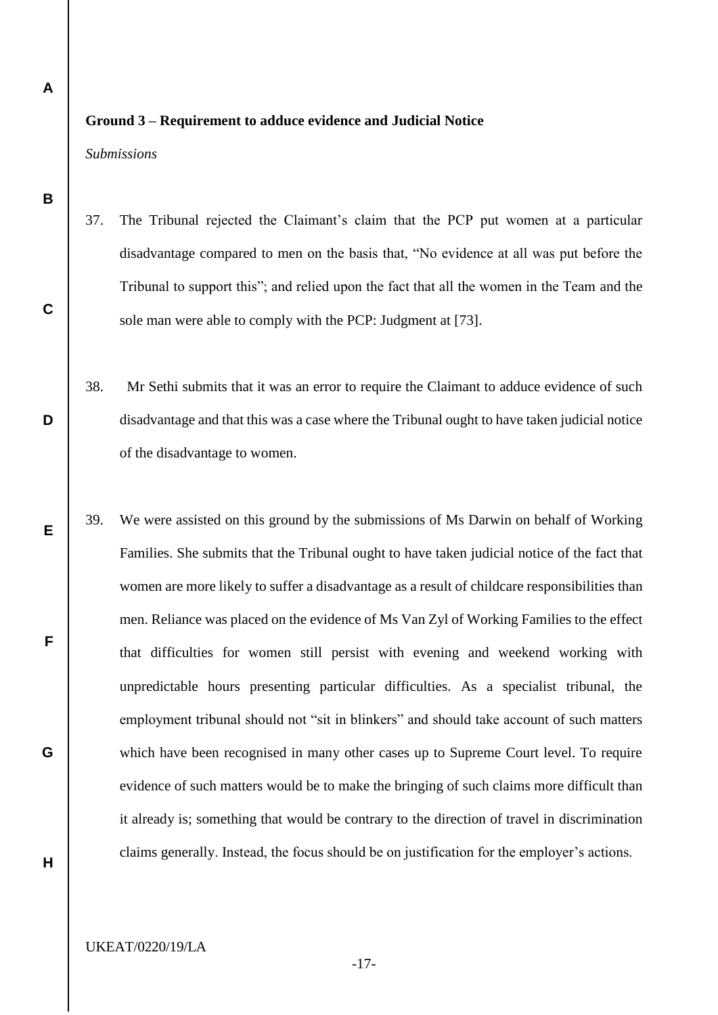## **Ground 3 – Requirement to adduce evidence and Judicial Notice**

*Submissions*

- 37. The Tribunal rejected the Claimant's claim that the PCP put women at a particular disadvantage compared to men on the basis that, "No evidence at all was put before the Tribunal to support this"; and relied upon the fact that all the women in the Team and the sole man were able to comply with the PCP: Judgment at [73].
- 38. Mr Sethi submits that it was an error to require the Claimant to adduce evidence of such disadvantage and that this was a case where the Tribunal ought to have taken judicial notice of the disadvantage to women.
- 39. We were assisted on this ground by the submissions of Ms Darwin on behalf of Working Families. She submits that the Tribunal ought to have taken judicial notice of the fact that women are more likely to suffer a disadvantage as a result of childcare responsibilities than men. Reliance was placed on the evidence of Ms Van Zyl of Working Families to the effect that difficulties for women still persist with evening and weekend working with unpredictable hours presenting particular difficulties. As a specialist tribunal, the employment tribunal should not "sit in blinkers" and should take account of such matters which have been recognised in many other cases up to Supreme Court level. To require evidence of such matters would be to make the bringing of such claims more difficult than it already is; something that would be contrary to the direction of travel in discrimination claims generally. Instead, the focus should be on justification for the employer's actions.

**B**

**C**

**D**

**E**

**F**

**G**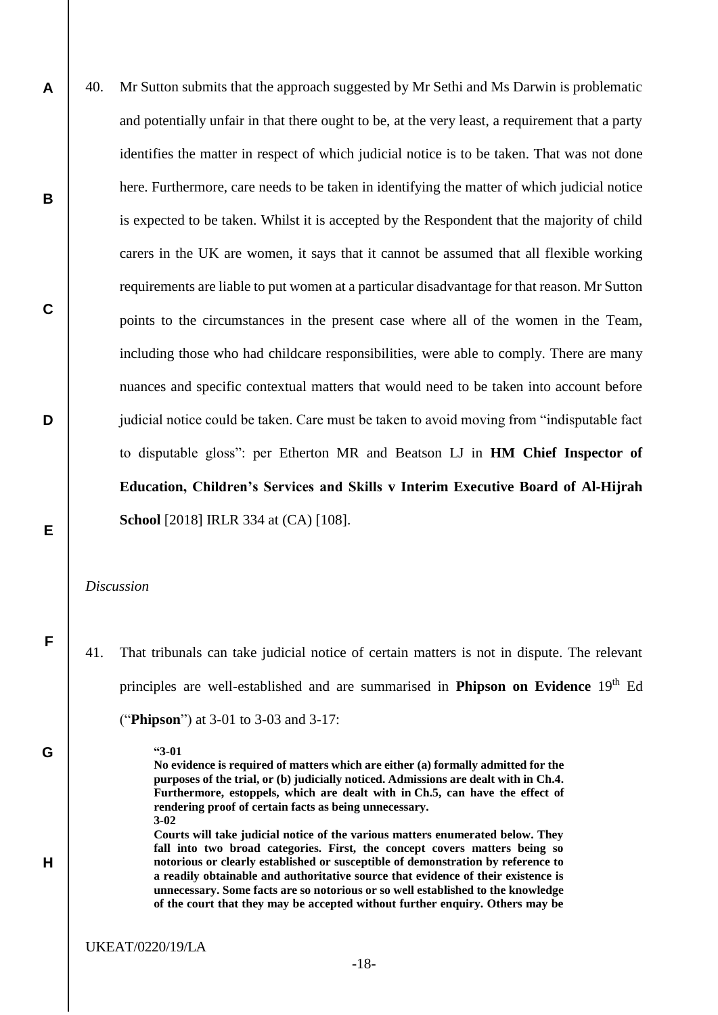**A B C D E** 40. Mr Sutton submits that the approach suggested by Mr Sethi and Ms Darwin is problematic and potentially unfair in that there ought to be, at the very least, a requirement that a party identifies the matter in respect of which judicial notice is to be taken. That was not done here. Furthermore, care needs to be taken in identifying the matter of which judicial notice is expected to be taken. Whilst it is accepted by the Respondent that the majority of child carers in the UK are women, it says that it cannot be assumed that all flexible working requirements are liable to put women at a particular disadvantage for that reason. Mr Sutton points to the circumstances in the present case where all of the women in the Team, including those who had childcare responsibilities, were able to comply. There are many nuances and specific contextual matters that would need to be taken into account before judicial notice could be taken. Care must be taken to avoid moving from "indisputable fact to disputable gloss": per Etherton MR and Beatson LJ in **HM Chief Inspector of Education, Children's Services and Skills v Interim Executive Board of Al-Hijrah School** [2018] IRLR 334 at (CA) [108].

*Discussion*

**F**

**G**

**H**

41. That tribunals can take judicial notice of certain matters is not in dispute. The relevant principles are well-established and are summarised in **Phipson on Evidence** 19<sup>th</sup> Ed ("**Phipson**") at 3-01 to 3-03 and 3-17:

**"3-01**

**No evidence is required of matters which are either (a) formally admitted for the purposes of the trial, or (b) judicially noticed. Admissions are dealt with in Ch.4. Furthermore, estoppels, which are dealt with in Ch.5, can have the effect of rendering proof of certain facts as being unnecessary. 3-02**

**Courts will take judicial notice of the various matters enumerated below. They fall into two broad categories. First, the concept covers matters being so notorious or clearly established or susceptible of demonstration by reference to a readily obtainable and authoritative source that evidence of their existence is unnecessary. Some facts are so notorious or so well established to the knowledge of the court that they may be accepted without further enquiry. Others may be**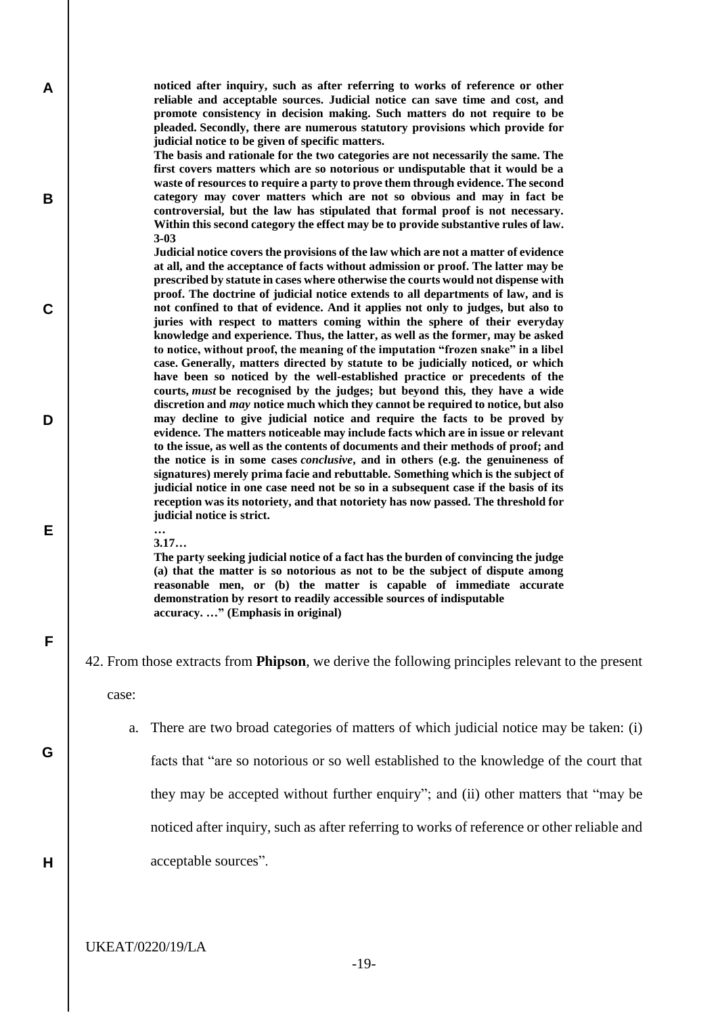**noticed after inquiry, such as after referring to works of reference or other reliable and acceptable sources. Judicial notice can save time and cost, and promote consistency in decision making. Such matters do not require to be pleaded. Secondly, there are numerous statutory provisions which provide for judicial notice to be given of specific matters.**

**The basis and rationale for the two categories are not necessarily the same. The first covers matters which are so notorious or undisputable that it would be a waste of resources to require a party to prove them through evidence. The second category may cover matters which are not so obvious and may in fact be controversial, but the law has stipulated that formal proof is not necessary. Within this second category the effect may be to provide substantive rules of law. 3-03**

**Judicial notice covers the provisions of the law which are not a matter of evidence at all, and the acceptance of facts without admission or proof. The latter may be prescribed by statute in cases where otherwise the courts would not dispense with proof. The doctrine of judicial notice extends to all departments of law, and is not confined to that of evidence. And it applies not only to judges, but also to juries with respect to matters coming within the sphere of their everyday knowledge and experience. Thus, the latter, as well as the former, may be asked to notice, without proof, the meaning of the imputation "frozen snake" in a libel case. Generally, matters directed by statute to be judicially noticed, or which have been so noticed by the well-established practice or precedents of the courts,** *must* **be recognised by the judges; but beyond this, they have a wide discretion and** *may* **notice much which they cannot be required to notice, but also may decline to give judicial notice and require the facts to be proved by evidence. The matters noticeable may include facts which are in issue or relevant to the issue, as well as the contents of documents and their methods of proof; and the notice is in some cases** *conclusive***, and in others (e.g. the genuineness of signatures) merely prima facie and rebuttable. Something which is the subject of judicial notice in one case need not be so in a subsequent case if the basis of its reception was its notoriety, and that notoriety has now passed. The threshold for judicial notice is strict.**

**… 3.17…**

**The party seeking judicial notice of a fact has the burden of convincing the judge (a) that the matter is so notorious as not to be the subject of dispute among reasonable men, or (b) the matter is capable of immediate accurate demonstration by resort to readily accessible sources of indisputable accuracy. …" (Emphasis in original)**

42. From those extracts from **Phipson**, we derive the following principles relevant to the present

case:

**A**

**B**

**C**

**D**

**E**

**F**

**G**

**H**

a. There are two broad categories of matters of which judicial notice may be taken: (i)

facts that "are so notorious or so well established to the knowledge of the court that

they may be accepted without further enquiry"; and (ii) other matters that "may be

noticed after inquiry, such as after referring to works of reference or other reliable and

acceptable sources".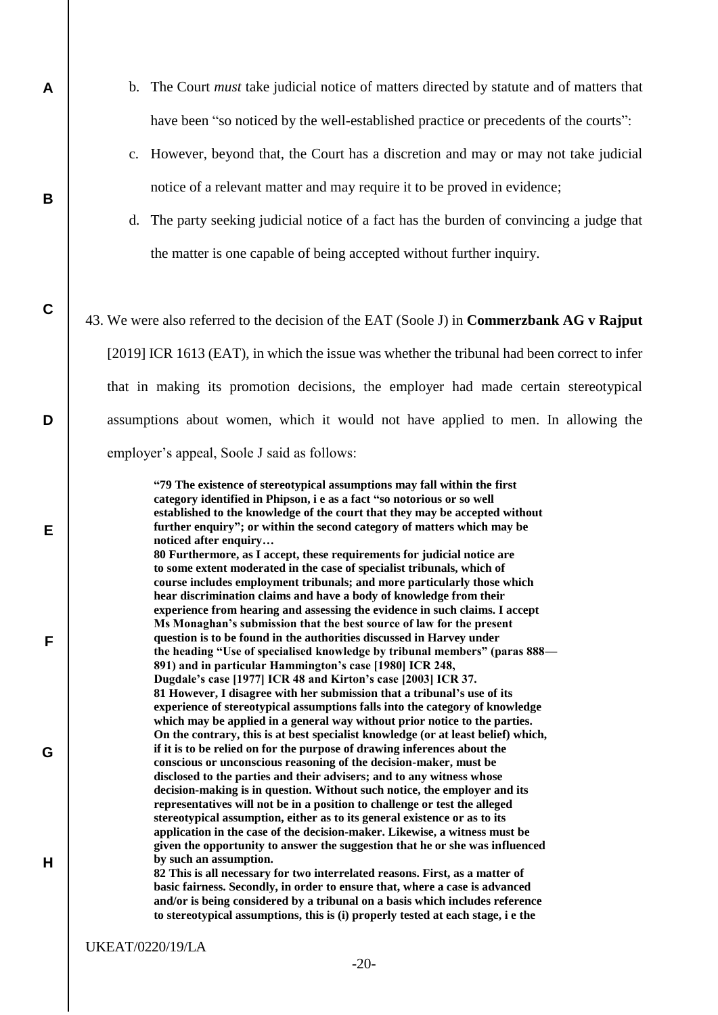- b. The Court *must* take judicial notice of matters directed by statute and of matters that have been "so noticed by the well-established practice or precedents of the courts":
- c. However, beyond that, the Court has a discretion and may or may not take judicial notice of a relevant matter and may require it to be proved in evidence;
- d. The party seeking judicial notice of a fact has the burden of convincing a judge that the matter is one capable of being accepted without further inquiry.
- 43. We were also referred to the decision of the EAT (Soole J) in **Commerzbank AG v Rajput** [2019] ICR 1613 (EAT), in which the issue was whether the tribunal had been correct to infer that in making its promotion decisions, the employer had made certain stereotypical assumptions about women, which it would not have applied to men. In allowing the employer's appeal, Soole J said as follows:

**"79 The existence of stereotypical assumptions may fall within the first category identified in Phipson, i e as a fact "so notorious or so well established to the knowledge of the court that they may be accepted without further enquiry"; or within the second category of matters which may be noticed after enquiry… 80 Furthermore, as I accept, these requirements for judicial notice are to some extent moderated in the case of specialist tribunals, which of course includes employment tribunals; and more particularly those which hear discrimination claims and have a body of knowledge from their experience from hearing and assessing the evidence in such claims. I accept Ms Monaghan's submission that the best source of law for the present question is to be found in the authorities discussed in Harvey under the heading "Use of specialised knowledge by tribunal members" (paras 888— 891) and in particular Hammington's case [1980] ICR 248, Dugdale's case [1977] ICR 48 and Kirton's case [2003] ICR 37. 81 However, I disagree with her submission that a tribunal's use of its experience of stereotypical assumptions falls into the category of knowledge which may be applied in a general way without prior notice to the parties. On the contrary, this is at best specialist knowledge (or at least belief) which, if it is to be relied on for the purpose of drawing inferences about the conscious or unconscious reasoning of the decision-maker, must be disclosed to the parties and their advisers; and to any witness whose decision-making is in question. Without such notice, the employer and its representatives will not be in a position to challenge or test the alleged stereotypical assumption, either as to its general existence or as to its application in the case of the decision-maker. Likewise, a witness must be given the opportunity to answer the suggestion that he or she was influenced by such an assumption. 82 This is all necessary for two interrelated reasons. First, as a matter of basic fairness. Secondly, in order to ensure that, where a case is advanced**

**and/or is being considered by a tribunal on a basis which includes reference to stereotypical assumptions, this is (i) properly tested at each stage, i e the**

**A**

**B**

**C**

**D**

**E**

**F**

**G**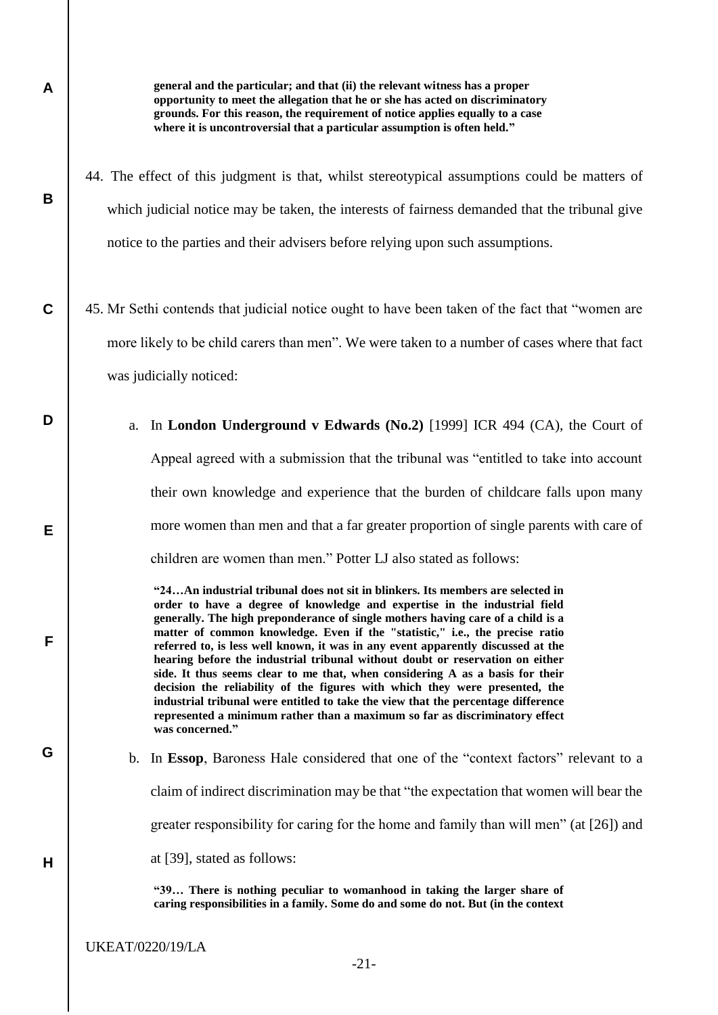**B**

**D**

**E**

**F**

**G**

**H**

**general and the particular; and that (ii) the relevant witness has a proper opportunity to meet the allegation that he or she has acted on discriminatory grounds. For this reason, the requirement of notice applies equally to a case where it is uncontroversial that a particular assumption is often held."**

- 44. The effect of this judgment is that, whilst stereotypical assumptions could be matters of which judicial notice may be taken, the interests of fairness demanded that the tribunal give notice to the parties and their advisers before relying upon such assumptions.
- **C** 45. Mr Sethi contends that judicial notice ought to have been taken of the fact that "women are more likely to be child carers than men". We were taken to a number of cases where that fact was judicially noticed:
	- a. In **London Underground v Edwards (No.2)** [1999] ICR 494 (CA), the Court of Appeal agreed with a submission that the tribunal was "entitled to take into account their own knowledge and experience that the burden of childcare falls upon many more women than men and that a far greater proportion of single parents with care of children are women than men." Potter LJ also stated as follows:

**"24…An industrial tribunal does not sit in blinkers. Its members are selected in order to have a degree of knowledge and expertise in the industrial field generally. The high preponderance of single mothers having care of a child is a matter of common knowledge. Even if the "statistic," i.e., the precise ratio referred to, is less well known, it was in any event apparently discussed at the hearing before the industrial tribunal without doubt or reservation on either side. It thus seems clear to me that, when considering A as a basis for their decision the reliability of the figures with which they were presented, the industrial tribunal were entitled to take the view that the percentage difference represented a minimum rather than a maximum so far as discriminatory effect was concerned."**

b. In **Essop**, Baroness Hale considered that one of the "context factors" relevant to a claim of indirect discrimination may be that "the expectation that women will bear the greater responsibility for caring for the home and family than will men" (at [26]) and at [39], stated as follows:

**"39… There is nothing peculiar to womanhood in taking the larger share of caring responsibilities in a family. Some do and some do not. But (in the context**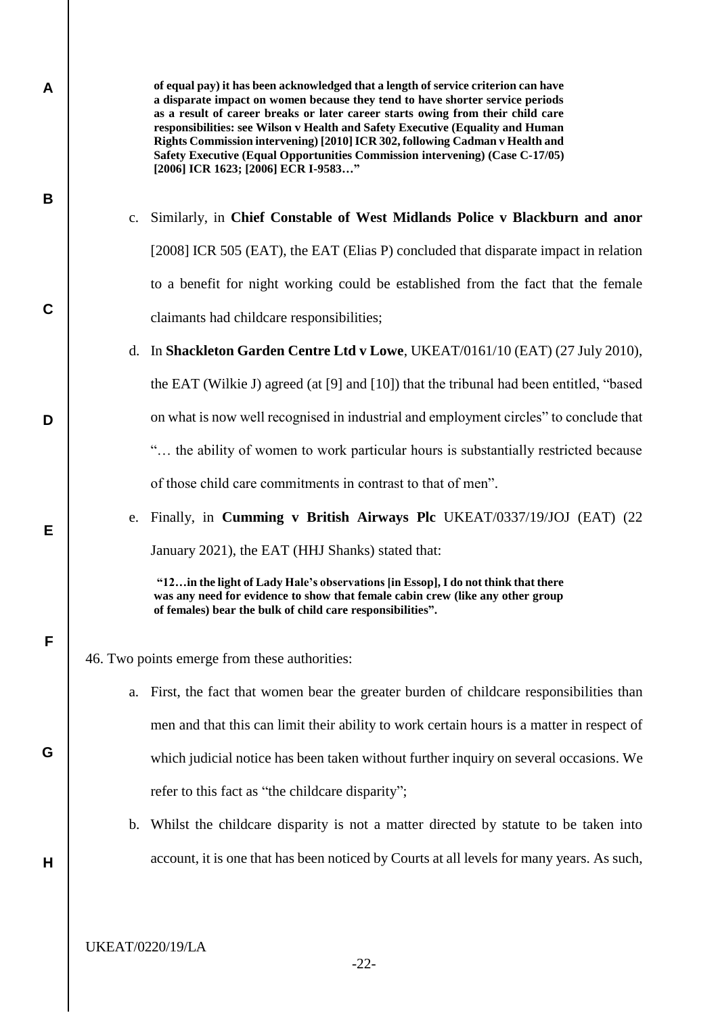| A |                                               | of equal pay) it has been acknowledged that a length of service criterion can have<br>a disparate impact on women because they tend to have shorter service periods<br>as a result of career breaks or later career starts owing from their child care<br>responsibilities: see Wilson v Health and Safety Executive (Equality and Human<br>Rights Commission intervening) [2010] ICR 302, following Cadman v Health and<br>Safety Executive (Equal Opportunities Commission intervening) (Case C-17/05)<br>[2006] ICR 1623; [2006] ECR I-9583" |
|---|-----------------------------------------------|-------------------------------------------------------------------------------------------------------------------------------------------------------------------------------------------------------------------------------------------------------------------------------------------------------------------------------------------------------------------------------------------------------------------------------------------------------------------------------------------------------------------------------------------------|
| B | $\mathbf{c}$ .                                | Similarly, in Chief Constable of West Midlands Police v Blackburn and anor                                                                                                                                                                                                                                                                                                                                                                                                                                                                      |
|   |                                               | [2008] ICR 505 (EAT), the EAT (Elias P) concluded that disparate impact in relation                                                                                                                                                                                                                                                                                                                                                                                                                                                             |
|   |                                               |                                                                                                                                                                                                                                                                                                                                                                                                                                                                                                                                                 |
| C |                                               | to a benefit for night working could be established from the fact that the female                                                                                                                                                                                                                                                                                                                                                                                                                                                               |
|   |                                               | claimants had childcare responsibilities;                                                                                                                                                                                                                                                                                                                                                                                                                                                                                                       |
|   |                                               | d. In Shackleton Garden Centre Ltd v Lowe, UKEAT/0161/10 (EAT) (27 July 2010),                                                                                                                                                                                                                                                                                                                                                                                                                                                                  |
|   |                                               | the EAT (Wilkie J) agreed (at [9] and [10]) that the tribunal had been entitled, "based                                                                                                                                                                                                                                                                                                                                                                                                                                                         |
| D |                                               | on what is now well recognised in industrial and employment circles" to conclude that                                                                                                                                                                                                                                                                                                                                                                                                                                                           |
|   |                                               | " the ability of women to work particular hours is substantially restricted because                                                                                                                                                                                                                                                                                                                                                                                                                                                             |
|   |                                               | of those child care commitments in contrast to that of men".                                                                                                                                                                                                                                                                                                                                                                                                                                                                                    |
| Е |                                               | e. Finally, in Cumming v British Airways Plc UKEAT/0337/19/JOJ (EAT) (22                                                                                                                                                                                                                                                                                                                                                                                                                                                                        |
|   |                                               | January 2021), the EAT (HHJ Shanks) stated that:                                                                                                                                                                                                                                                                                                                                                                                                                                                                                                |
|   |                                               | "12in the light of Lady Hale's observations [in Essop], I do not think that there<br>was any need for evidence to show that female cabin crew (like any other group<br>of females) bear the bulk of child care responsibilities".                                                                                                                                                                                                                                                                                                               |
| F | 46. Two points emerge from these authorities: |                                                                                                                                                                                                                                                                                                                                                                                                                                                                                                                                                 |
|   | a.                                            | First, the fact that women bear the greater burden of childcare responsibilities than                                                                                                                                                                                                                                                                                                                                                                                                                                                           |
|   |                                               | men and that this can limit their ability to work certain hours is a matter in respect of                                                                                                                                                                                                                                                                                                                                                                                                                                                       |
| G |                                               | which judicial notice has been taken without further inquiry on several occasions. We                                                                                                                                                                                                                                                                                                                                                                                                                                                           |
|   |                                               | refer to this fact as "the childcare disparity";                                                                                                                                                                                                                                                                                                                                                                                                                                                                                                |
|   | b.                                            | Whilst the childcare disparity is not a matter directed by statute to be taken into                                                                                                                                                                                                                                                                                                                                                                                                                                                             |
| Н |                                               | account, it is one that has been noticed by Courts at all levels for many years. As such,                                                                                                                                                                                                                                                                                                                                                                                                                                                       |
|   |                                               |                                                                                                                                                                                                                                                                                                                                                                                                                                                                                                                                                 |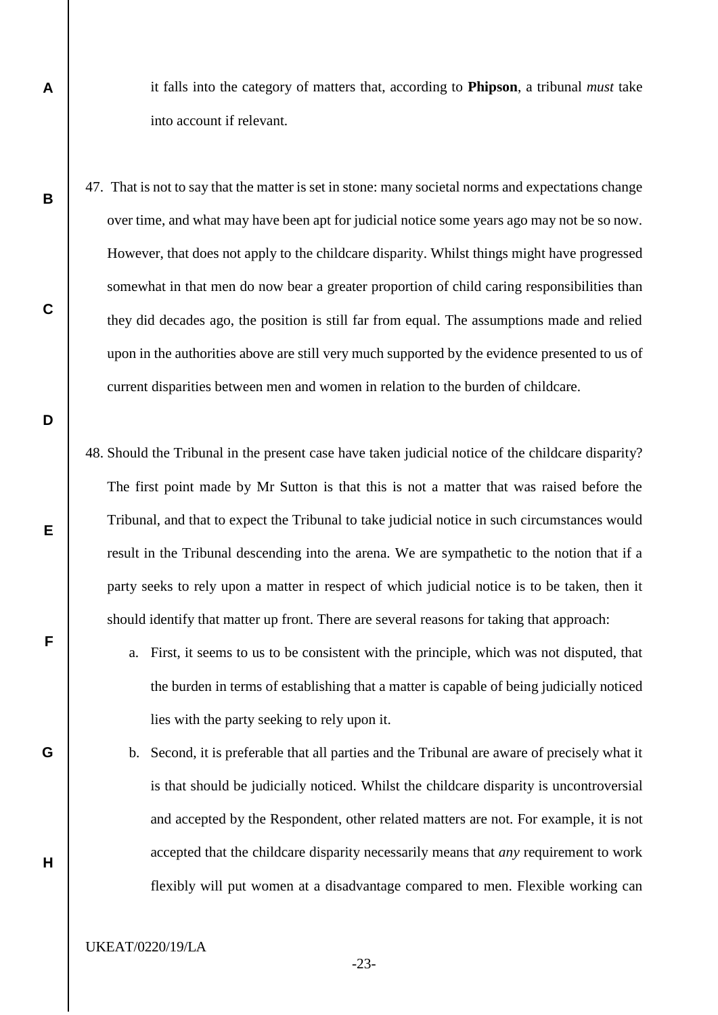it falls into the category of matters that, according to **Phipson**, a tribunal *must* take into account if relevant.

- 47. That is not to say that the matter is set in stone: many societal norms and expectations change over time, and what may have been apt for judicial notice some years ago may not be so now. However, that does not apply to the childcare disparity. Whilst things might have progressed somewhat in that men do now bear a greater proportion of child caring responsibilities than they did decades ago, the position is still far from equal. The assumptions made and relied upon in the authorities above are still very much supported by the evidence presented to us of current disparities between men and women in relation to the burden of childcare.
	- 48. Should the Tribunal in the present case have taken judicial notice of the childcare disparity? The first point made by Mr Sutton is that this is not a matter that was raised before the Tribunal, and that to expect the Tribunal to take judicial notice in such circumstances would result in the Tribunal descending into the arena. We are sympathetic to the notion that if a party seeks to rely upon a matter in respect of which judicial notice is to be taken, then it should identify that matter up front. There are several reasons for taking that approach:
		- a. First, it seems to us to be consistent with the principle, which was not disputed, that the burden in terms of establishing that a matter is capable of being judicially noticed lies with the party seeking to rely upon it.
		- b. Second, it is preferable that all parties and the Tribunal are aware of precisely what it is that should be judicially noticed. Whilst the childcare disparity is uncontroversial and accepted by the Respondent, other related matters are not. For example, it is not accepted that the childcare disparity necessarily means that *any* requirement to work flexibly will put women at a disadvantage compared to men. Flexible working can

UKEAT/0220/19/LA

**A**

**B**

**C**

**D**

**E**

**F**

**G**

**H**

-23-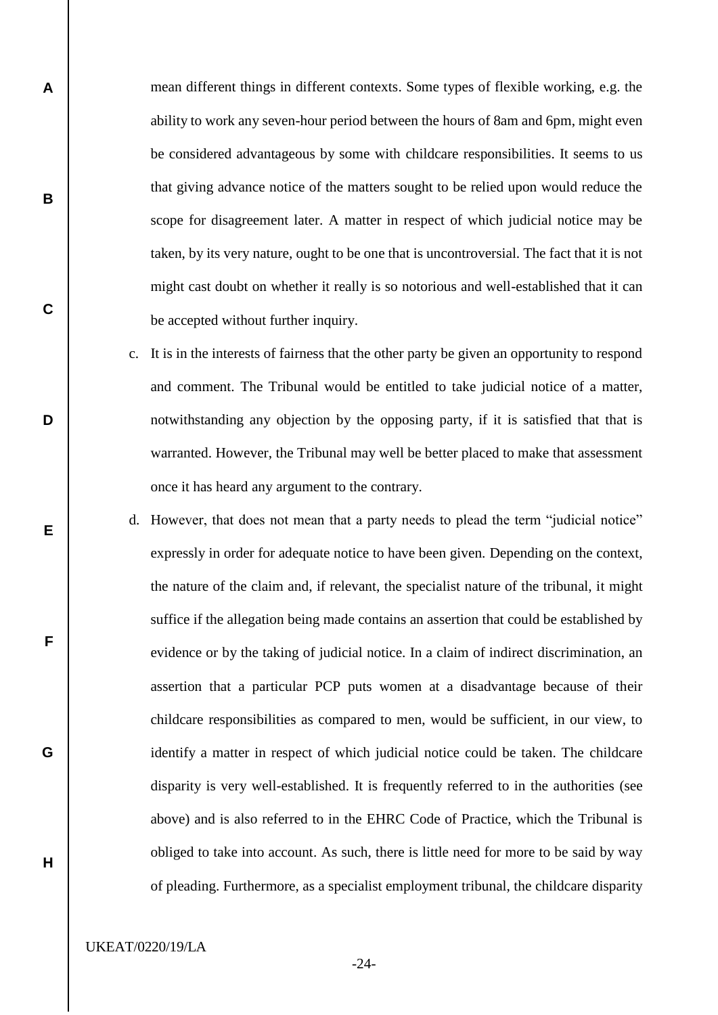mean different things in different contexts. Some types of flexible working, e.g. the ability to work any seven-hour period between the hours of 8am and 6pm, might even be considered advantageous by some with childcare responsibilities. It seems to us that giving advance notice of the matters sought to be relied upon would reduce the scope for disagreement later. A matter in respect of which judicial notice may be taken, by its very nature, ought to be one that is uncontroversial. The fact that it is not might cast doubt on whether it really is so notorious and well-established that it can be accepted without further inquiry.

- c. It is in the interests of fairness that the other party be given an opportunity to respond and comment. The Tribunal would be entitled to take judicial notice of a matter, notwithstanding any objection by the opposing party, if it is satisfied that that is warranted. However, the Tribunal may well be better placed to make that assessment once it has heard any argument to the contrary.
- d. However, that does not mean that a party needs to plead the term "judicial notice" expressly in order for adequate notice to have been given. Depending on the context, the nature of the claim and, if relevant, the specialist nature of the tribunal, it might suffice if the allegation being made contains an assertion that could be established by evidence or by the taking of judicial notice. In a claim of indirect discrimination, an assertion that a particular PCP puts women at a disadvantage because of their childcare responsibilities as compared to men, would be sufficient, in our view, to identify a matter in respect of which judicial notice could be taken. The childcare disparity is very well-established. It is frequently referred to in the authorities (see above) and is also referred to in the EHRC Code of Practice, which the Tribunal is obliged to take into account. As such, there is little need for more to be said by way of pleading. Furthermore, as a specialist employment tribunal, the childcare disparity

UKEAT/0220/19/LA

**A**

**B**

**C**

**D**

**E**

**F**

**G**

**H**

-24-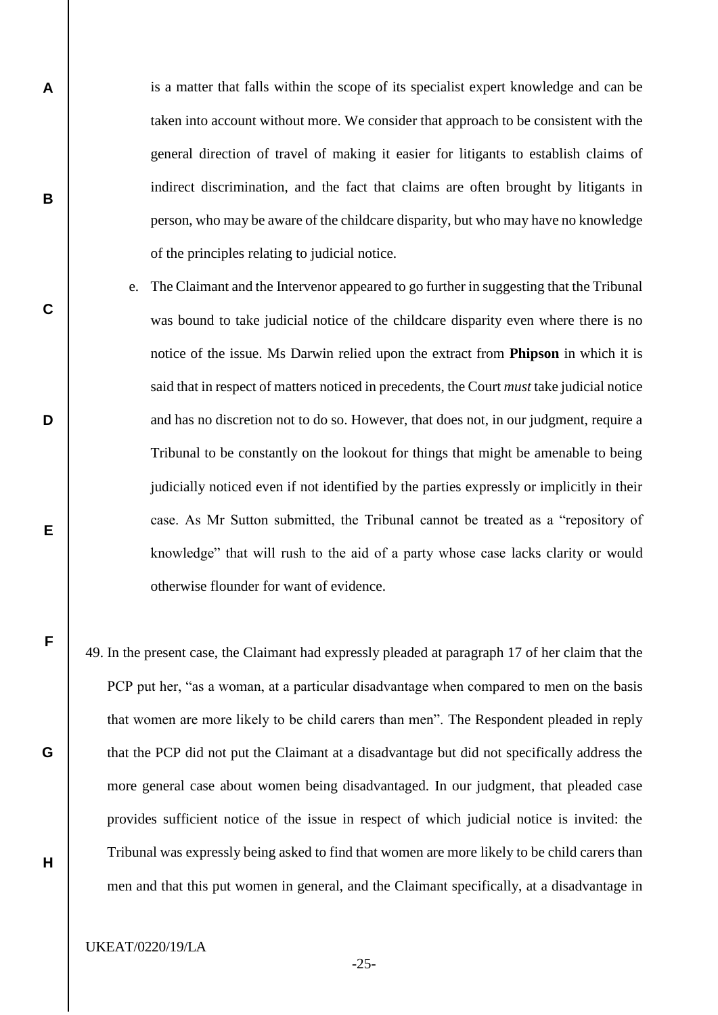is a matter that falls within the scope of its specialist expert knowledge and can be taken into account without more. We consider that approach to be consistent with the general direction of travel of making it easier for litigants to establish claims of indirect discrimination, and the fact that claims are often brought by litigants in person, who may be aware of the childcare disparity, but who may have no knowledge of the principles relating to judicial notice.

- e. The Claimant and the Intervenor appeared to go further in suggesting that the Tribunal was bound to take judicial notice of the childcare disparity even where there is no notice of the issue. Ms Darwin relied upon the extract from **Phipson** in which it is said that in respect of matters noticed in precedents, the Court *must* take judicial notice and has no discretion not to do so. However, that does not, in our judgment, require a Tribunal to be constantly on the lookout for things that might be amenable to being judicially noticed even if not identified by the parties expressly or implicitly in their case. As Mr Sutton submitted, the Tribunal cannot be treated as a "repository of knowledge" that will rush to the aid of a party whose case lacks clarity or would otherwise flounder for want of evidence.
- 49. In the present case, the Claimant had expressly pleaded at paragraph 17 of her claim that the PCP put her, "as a woman, at a particular disadvantage when compared to men on the basis that women are more likely to be child carers than men". The Respondent pleaded in reply that the PCP did not put the Claimant at a disadvantage but did not specifically address the more general case about women being disadvantaged. In our judgment, that pleaded case provides sufficient notice of the issue in respect of which judicial notice is invited: the Tribunal was expressly being asked to find that women are more likely to be child carers than men and that this put women in general, and the Claimant specifically, at a disadvantage in

UKEAT/0220/19/LA

**A**

**B**

**C**

**D**

**E**

**F**

**G**

**H**

-25-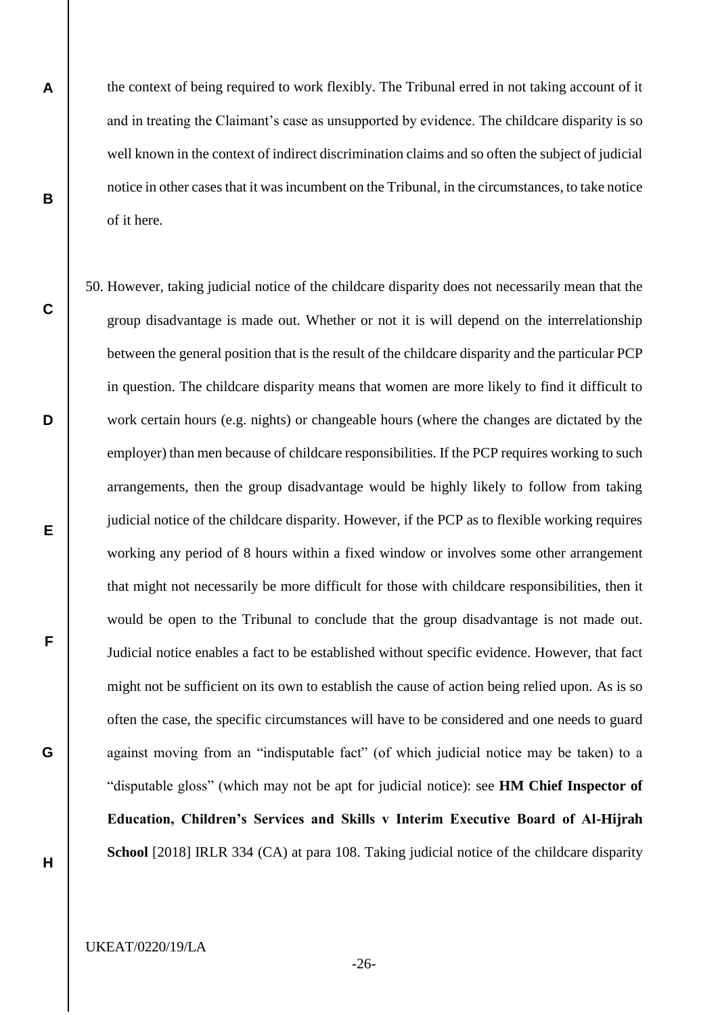the context of being required to work flexibly. The Tribunal erred in not taking account of it and in treating the Claimant's case as unsupported by evidence. The childcare disparity is so well known in the context of indirect discrimination claims and so often the subject of judicial notice in other cases that it was incumbent on the Tribunal, in the circumstances, to take notice of it here.

50. However, taking judicial notice of the childcare disparity does not necessarily mean that the group disadvantage is made out. Whether or not it is will depend on the interrelationship between the general position that is the result of the childcare disparity and the particular PCP in question. The childcare disparity means that women are more likely to find it difficult to work certain hours (e.g. nights) or changeable hours (where the changes are dictated by the employer) than men because of childcare responsibilities. If the PCP requires working to such arrangements, then the group disadvantage would be highly likely to follow from taking judicial notice of the childcare disparity. However, if the PCP as to flexible working requires working any period of 8 hours within a fixed window or involves some other arrangement that might not necessarily be more difficult for those with childcare responsibilities, then it would be open to the Tribunal to conclude that the group disadvantage is not made out. Judicial notice enables a fact to be established without specific evidence. However, that fact might not be sufficient on its own to establish the cause of action being relied upon. As is so often the case, the specific circumstances will have to be considered and one needs to guard against moving from an "indisputable fact" (of which judicial notice may be taken) to a "disputable gloss" (which may not be apt for judicial notice): see **HM Chief Inspector of Education, Children's Services and Skills v Interim Executive Board of Al-Hijrah School** [2018] IRLR 334 (CA) at para 108. Taking judicial notice of the childcare disparity

**A**

**B**

**C**

**D**

**E**

**F**

**G**

**H**

UKEAT/0220/19/LA

-26-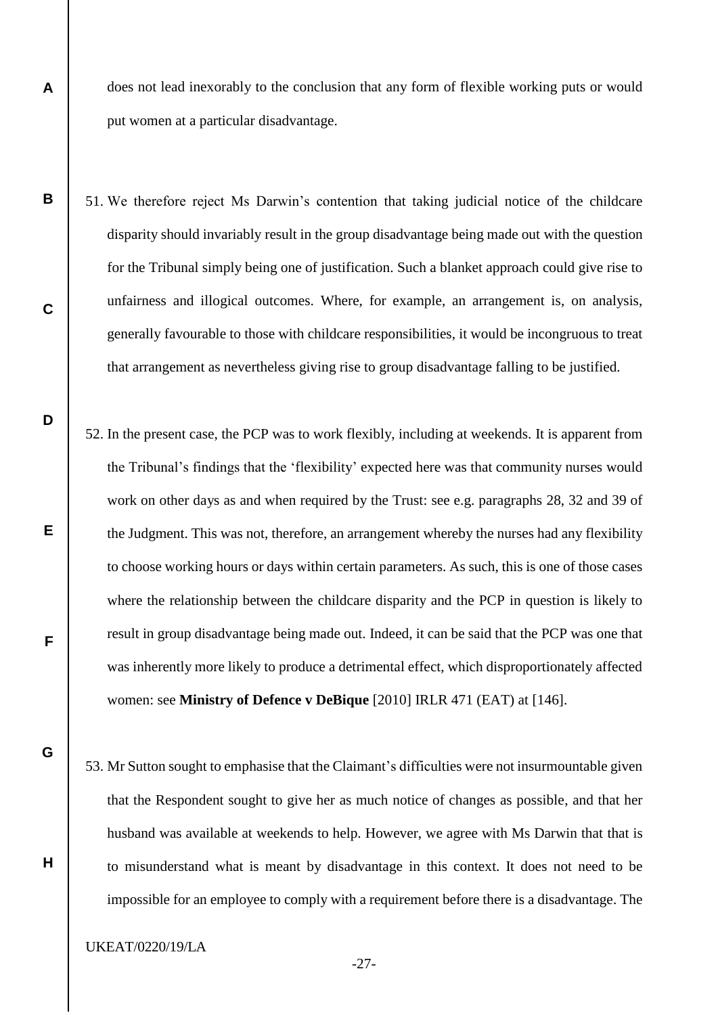does not lead inexorably to the conclusion that any form of flexible working puts or would put women at a particular disadvantage.

- **B** 51. We therefore reject Ms Darwin's contention that taking judicial notice of the childcare disparity should invariably result in the group disadvantage being made out with the question for the Tribunal simply being one of justification. Such a blanket approach could give rise to unfairness and illogical outcomes. Where, for example, an arrangement is, on analysis, generally favourable to those with childcare responsibilities, it would be incongruous to treat that arrangement as nevertheless giving rise to group disadvantage falling to be justified.
	- 52. In the present case, the PCP was to work flexibly, including at weekends. It is apparent from the Tribunal's findings that the 'flexibility' expected here was that community nurses would work on other days as and when required by the Trust: see e.g. paragraphs 28, 32 and 39 of the Judgment. This was not, therefore, an arrangement whereby the nurses had any flexibility to choose working hours or days within certain parameters. As such, this is one of those cases where the relationship between the childcare disparity and the PCP in question is likely to result in group disadvantage being made out. Indeed, it can be said that the PCP was one that was inherently more likely to produce a detrimental effect, which disproportionately affected women: see **Ministry of Defence v DeBique** [2010] IRLR 471 (EAT) at [146].
		- 53. Mr Sutton sought to emphasise that the Claimant's difficulties were not insurmountable given that the Respondent sought to give her as much notice of changes as possible, and that her husband was available at weekends to help. However, we agree with Ms Darwin that that is to misunderstand what is meant by disadvantage in this context. It does not need to be impossible for an employee to comply with a requirement before there is a disadvantage. The

UKEAT/0220/19/LA

**A**

**C**

**D**

**E**

**F**

**G**

**H**

-27-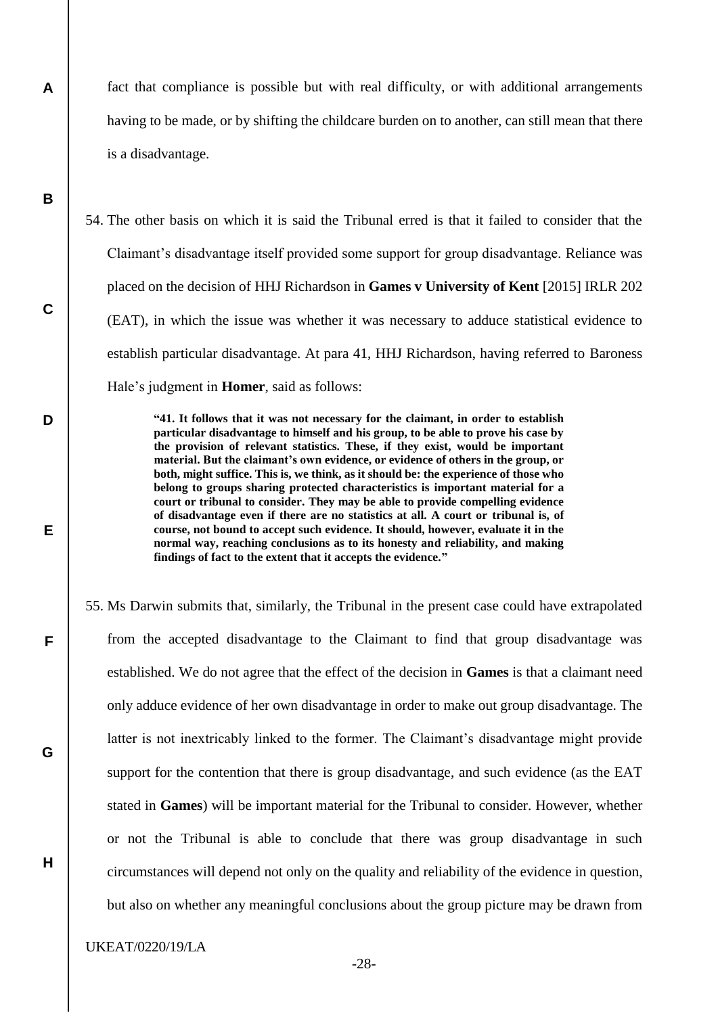fact that compliance is possible but with real difficulty, or with additional arrangements having to be made, or by shifting the childcare burden on to another, can still mean that there is a disadvantage.

54. The other basis on which it is said the Tribunal erred is that it failed to consider that the Claimant's disadvantage itself provided some support for group disadvantage. Reliance was placed on the decision of HHJ Richardson in **Games v University of Kent** [2015] IRLR 202 (EAT), in which the issue was whether it was necessary to adduce statistical evidence to establish particular disadvantage. At para 41, HHJ Richardson, having referred to Baroness Hale's judgment in **Homer**, said as follows:

> **"41. It follows that it was not necessary for the claimant, in order to establish particular disadvantage to himself and his group, to be able to prove his case by the provision of relevant statistics. These, if they exist, would be important material. But the claimant's own evidence, or evidence of others in the group, or both, might suffice. This is, we think, as it should be: the experience of those who belong to groups sharing protected characteristics is important material for a court or tribunal to consider. They may be able to provide compelling evidence of disadvantage even if there are no statistics at all. A court or tribunal is, of course, not bound to accept such evidence. It should, however, evaluate it in the normal way, reaching conclusions as to its honesty and reliability, and making findings of fact to the extent that it accepts the evidence."**

55. Ms Darwin submits that, similarly, the Tribunal in the present case could have extrapolated from the accepted disadvantage to the Claimant to find that group disadvantage was established. We do not agree that the effect of the decision in **Games** is that a claimant need only adduce evidence of her own disadvantage in order to make out group disadvantage. The latter is not inextricably linked to the former. The Claimant's disadvantage might provide support for the contention that there is group disadvantage, and such evidence (as the EAT stated in **Games**) will be important material for the Tribunal to consider. However, whether or not the Tribunal is able to conclude that there was group disadvantage in such circumstances will depend not only on the quality and reliability of the evidence in question, but also on whether any meaningful conclusions about the group picture may be drawn from

UKEAT/0220/19/LA

**A**

**B**

**C**

**D**

**E**

**F**

**G**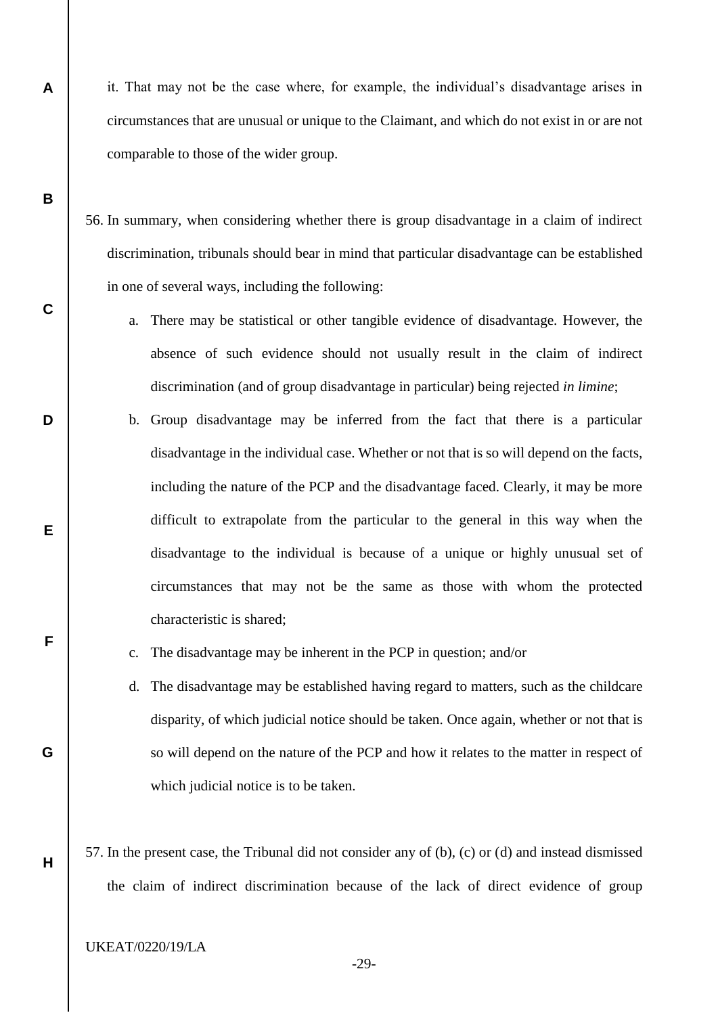- it. That may not be the case where, for example, the individual's disadvantage arises in circumstances that are unusual or unique to the Claimant, and which do not exist in or are not comparable to those of the wider group.
- 56. In summary, when considering whether there is group disadvantage in a claim of indirect discrimination, tribunals should bear in mind that particular disadvantage can be established in one of several ways, including the following:
	- a. There may be statistical or other tangible evidence of disadvantage. However, the absence of such evidence should not usually result in the claim of indirect discrimination (and of group disadvantage in particular) being rejected *in limine*;
	- b. Group disadvantage may be inferred from the fact that there is a particular disadvantage in the individual case. Whether or not that is so will depend on the facts, including the nature of the PCP and the disadvantage faced. Clearly, it may be more difficult to extrapolate from the particular to the general in this way when the disadvantage to the individual is because of a unique or highly unusual set of circumstances that may not be the same as those with whom the protected characteristic is shared;
	- c. The disadvantage may be inherent in the PCP in question; and/or
	- d. The disadvantage may be established having regard to matters, such as the childcare disparity, of which judicial notice should be taken. Once again, whether or not that is so will depend on the nature of the PCP and how it relates to the matter in respect of which judicial notice is to be taken.
- 57. In the present case, the Tribunal did not consider any of (b), (c) or (d) and instead dismissed the claim of indirect discrimination because of the lack of direct evidence of group

UKEAT/0220/19/LA

**A**

**B**

**C**

**D**

**E**

**F**

**G**

**H**

-29-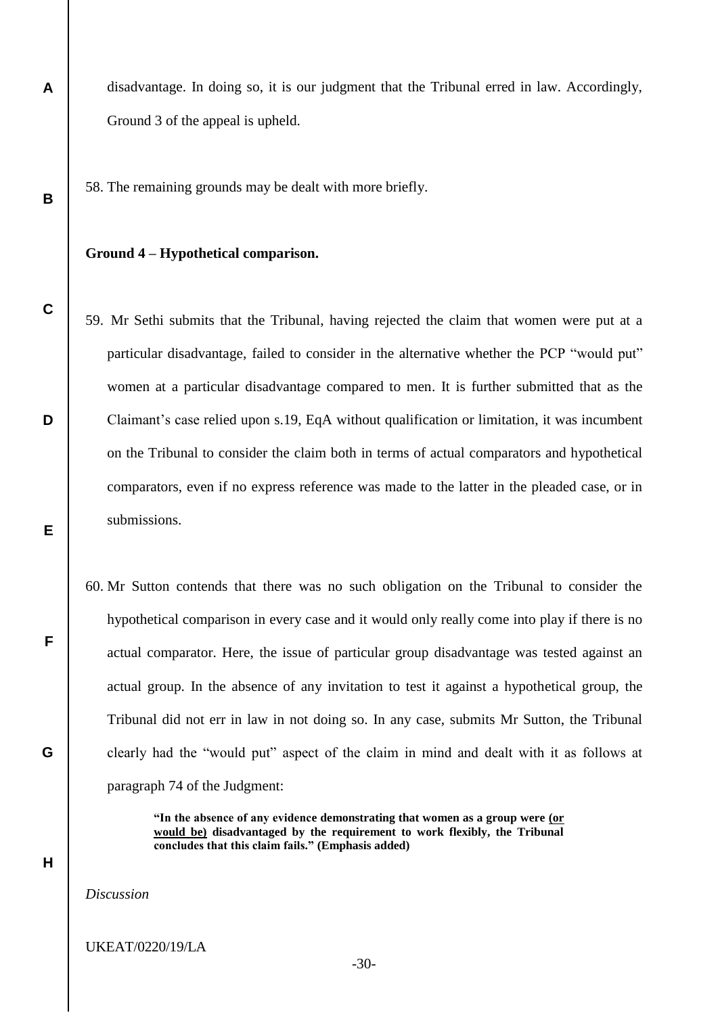disadvantage. In doing so, it is our judgment that the Tribunal erred in law. Accordingly, Ground 3 of the appeal is upheld.

58. The remaining grounds may be dealt with more briefly.

# **Ground 4 – Hypothetical comparison.**

**A**

**B**

**C**

**D**

**E**

**F**

**G**

**H**

- 59. Mr Sethi submits that the Tribunal, having rejected the claim that women were put at a particular disadvantage, failed to consider in the alternative whether the PCP "would put" women at a particular disadvantage compared to men. It is further submitted that as the Claimant's case relied upon s.19, EqA without qualification or limitation, it was incumbent on the Tribunal to consider the claim both in terms of actual comparators and hypothetical comparators, even if no express reference was made to the latter in the pleaded case, or in submissions.
	- 60. Mr Sutton contends that there was no such obligation on the Tribunal to consider the hypothetical comparison in every case and it would only really come into play if there is no actual comparator. Here, the issue of particular group disadvantage was tested against an actual group. In the absence of any invitation to test it against a hypothetical group, the Tribunal did not err in law in not doing so. In any case, submits Mr Sutton, the Tribunal clearly had the "would put" aspect of the claim in mind and dealt with it as follows at paragraph 74 of the Judgment:

**"In the absence of any evidence demonstrating that women as a group were (or would be) disadvantaged by the requirement to work flexibly, the Tribunal concludes that this claim fails." (Emphasis added)**

*Discussion*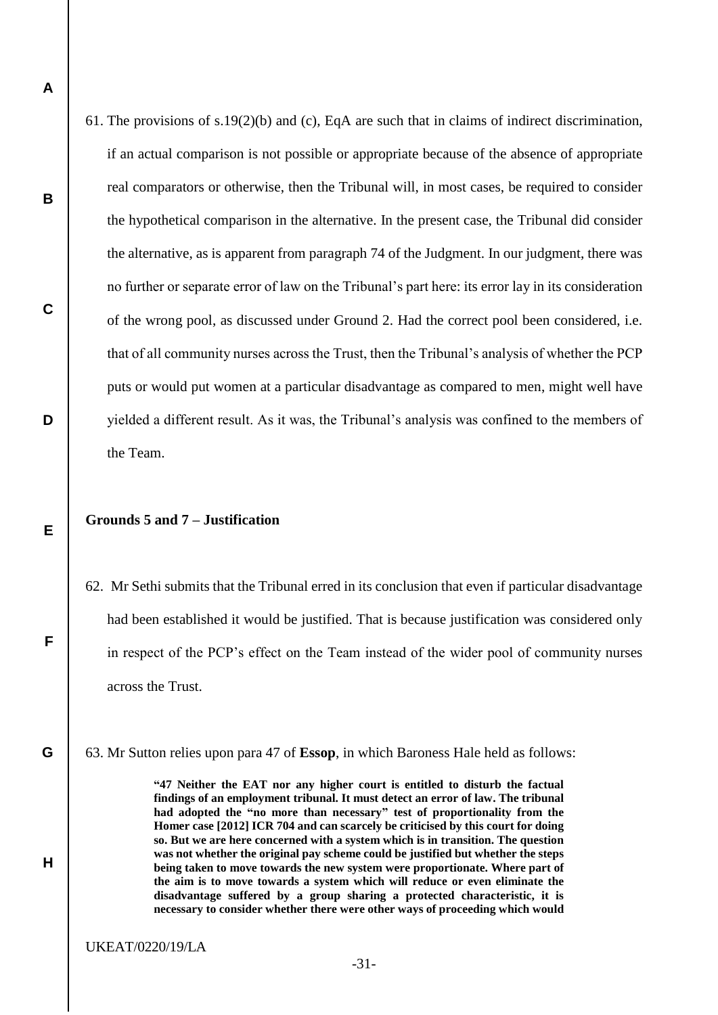61. The provisions of s.19(2)(b) and (c), EqA are such that in claims of indirect discrimination, if an actual comparison is not possible or appropriate because of the absence of appropriate real comparators or otherwise, then the Tribunal will, in most cases, be required to consider the hypothetical comparison in the alternative. In the present case, the Tribunal did consider the alternative, as is apparent from paragraph 74 of the Judgment. In our judgment, there was no further or separate error of law on the Tribunal's part here: its error lay in its consideration of the wrong pool, as discussed under Ground 2. Had the correct pool been considered, i.e. that of all community nurses across the Trust, then the Tribunal's analysis of whether the PCP puts or would put women at a particular disadvantage as compared to men, might well have yielded a different result. As it was, the Tribunal's analysis was confined to the members of the Team.

# **Grounds 5 and 7 – Justification**

**A**

**B**

**C**

**D**

**E**

**F**

**G**

**H**

- 62. Mr Sethi submits that the Tribunal erred in its conclusion that even if particular disadvantage had been established it would be justified. That is because justification was considered only in respect of the PCP's effect on the Team instead of the wider pool of community nurses across the Trust.
- 63. Mr Sutton relies upon para 47 of **Essop**, in which Baroness Hale held as follows:

**"47 Neither the EAT nor any higher court is entitled to disturb the factual findings of an employment tribunal. It must detect an error of law. The tribunal had adopted the "no more than necessary" test of proportionality from the Homer case [2012] ICR 704 and can scarcely be criticised by this court for doing so. But we are here concerned with a system which is in transition. The question was not whether the original pay scheme could be justified but whether the steps being taken to move towards the new system were proportionate. Where part of the aim is to move towards a system which will reduce or even eliminate the disadvantage suffered by a group sharing a protected characteristic, it is necessary to consider whether there were other ways of proceeding which would**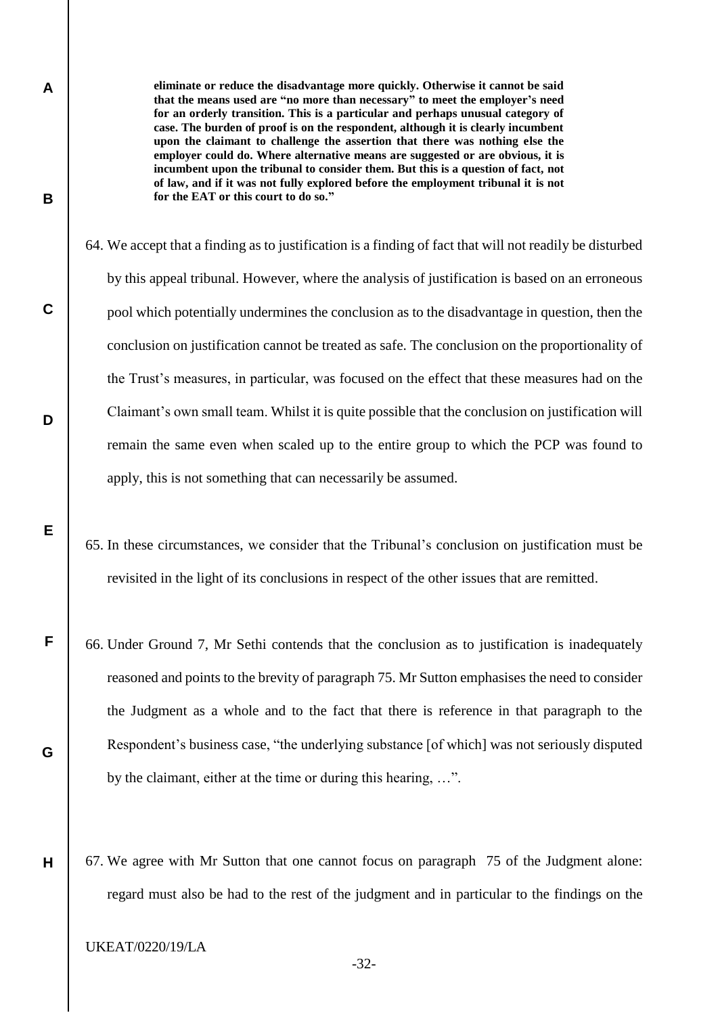**eliminate or reduce the disadvantage more quickly. Otherwise it cannot be said that the means used are "no more than necessary" to meet the employer's need for an orderly transition. This is a particular and perhaps unusual category of case. The burden of proof is on the respondent, although it is clearly incumbent upon the claimant to challenge the assertion that there was nothing else the employer could do. Where alternative means are suggested or are obvious, it is incumbent upon the tribunal to consider them. But this is a question of fact, not of law, and if it was not fully explored before the employment tribunal it is not for the EAT or this court to do so."**

- 64. We accept that a finding as to justification is a finding of fact that will not readily be disturbed by this appeal tribunal. However, where the analysis of justification is based on an erroneous pool which potentially undermines the conclusion as to the disadvantage in question, then the conclusion on justification cannot be treated as safe. The conclusion on the proportionality of the Trust's measures, in particular, was focused on the effect that these measures had on the Claimant's own small team. Whilst it is quite possible that the conclusion on justification will remain the same even when scaled up to the entire group to which the PCP was found to apply, this is not something that can necessarily be assumed.
- 65. In these circumstances, we consider that the Tribunal's conclusion on justification must be revisited in the light of its conclusions in respect of the other issues that are remitted.
- 66. Under Ground 7, Mr Sethi contends that the conclusion as to justification is inadequately reasoned and points to the brevity of paragraph 75. Mr Sutton emphasises the need to consider the Judgment as a whole and to the fact that there is reference in that paragraph to the Respondent's business case, "the underlying substance [of which] was not seriously disputed by the claimant, either at the time or during this hearing, …".
- 67. We agree with Mr Sutton that one cannot focus on paragraph 75 of the Judgment alone: regard must also be had to the rest of the judgment and in particular to the findings on the

UKEAT/0220/19/LA

**A**

**B**

**C**

**D**

**E**

**F**

**G**

**H**

-32-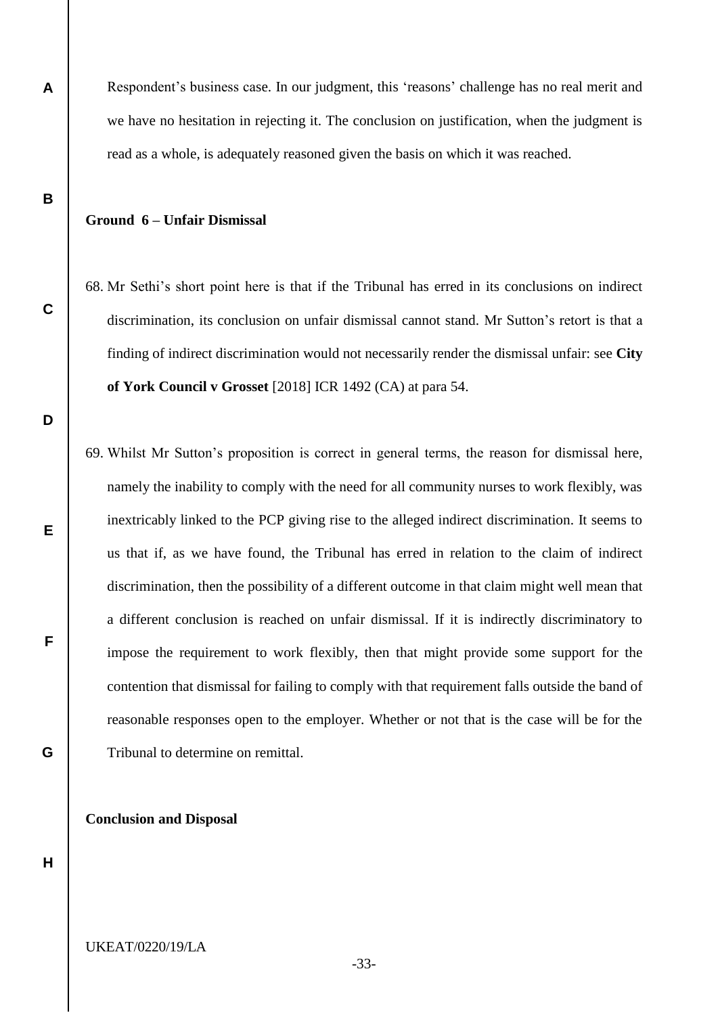Respondent's business case. In our judgment, this 'reasons' challenge has no real merit and we have no hesitation in rejecting it. The conclusion on justification, when the judgment is read as a whole, is adequately reasoned given the basis on which it was reached.

# **Ground 6 – Unfair Dismissal**

**A**

**B**

**C**

**D**

**E**

**F**

**G**

- 68. Mr Sethi's short point here is that if the Tribunal has erred in its conclusions on indirect discrimination, its conclusion on unfair dismissal cannot stand. Mr Sutton's retort is that a finding of indirect discrimination would not necessarily render the dismissal unfair: see **City of York Council v Grosset** [2018] ICR 1492 (CA) at para 54.
- 69. Whilst Mr Sutton's proposition is correct in general terms, the reason for dismissal here, namely the inability to comply with the need for all community nurses to work flexibly, was inextricably linked to the PCP giving rise to the alleged indirect discrimination. It seems to us that if, as we have found, the Tribunal has erred in relation to the claim of indirect discrimination, then the possibility of a different outcome in that claim might well mean that a different conclusion is reached on unfair dismissal. If it is indirectly discriminatory to impose the requirement to work flexibly, then that might provide some support for the contention that dismissal for failing to comply with that requirement falls outside the band of reasonable responses open to the employer. Whether or not that is the case will be for the Tribunal to determine on remittal.

**Conclusion and Disposal**

**H**